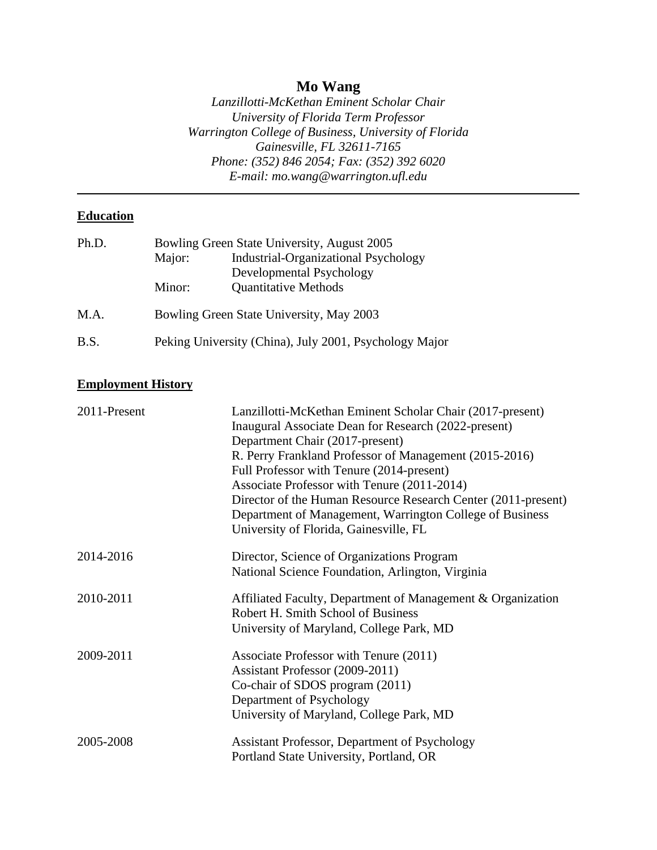## **Mo Wang**

*Lanzillotti-McKethan Eminent Scholar Chair University of Florida Term Professor Warrington College of Business, University of Florida Gainesville, FL 32611-7165 Phone: (352) 846 2054; Fax: (352) 392 6020 E-mail: mo.wang@warrington.ufl.edu*

## **Education**

|                                          | Bowling Green State University, August 2005 |  |  |
|------------------------------------------|---------------------------------------------|--|--|
| Major:                                   | <b>Industrial-Organizational Psychology</b> |  |  |
|                                          | Developmental Psychology                    |  |  |
| Minor:                                   | <b>Quantitative Methods</b>                 |  |  |
| Bowling Green State University, May 2003 |                                             |  |  |
|                                          |                                             |  |  |

# B.S. Peking University (China), July 2001, Psychology Major

### **Employment History**

| 2011-Present | Lanzillotti-McKethan Eminent Scholar Chair (2017-present)     |  |  |
|--------------|---------------------------------------------------------------|--|--|
|              | Inaugural Associate Dean for Research (2022-present)          |  |  |
|              | Department Chair (2017-present)                               |  |  |
|              | R. Perry Frankland Professor of Management (2015-2016)        |  |  |
|              | Full Professor with Tenure (2014-present)                     |  |  |
|              | Associate Professor with Tenure (2011-2014)                   |  |  |
|              | Director of the Human Resource Research Center (2011-present) |  |  |
|              | Department of Management, Warrington College of Business      |  |  |
|              | University of Florida, Gainesville, FL                        |  |  |
| 2014-2016    | Director, Science of Organizations Program                    |  |  |
|              | National Science Foundation, Arlington, Virginia              |  |  |
| 2010-2011    | Affiliated Faculty, Department of Management & Organization   |  |  |
|              | Robert H. Smith School of Business                            |  |  |
|              | University of Maryland, College Park, MD                      |  |  |
| 2009-2011    | Associate Professor with Tenure (2011)                        |  |  |
|              | Assistant Professor (2009-2011)                               |  |  |
|              | Co-chair of SDOS program (2011)                               |  |  |
|              | Department of Psychology                                      |  |  |
|              | University of Maryland, College Park, MD                      |  |  |
| 2005-2008    | Assistant Professor, Department of Psychology                 |  |  |
|              | Portland State University, Portland, OR                       |  |  |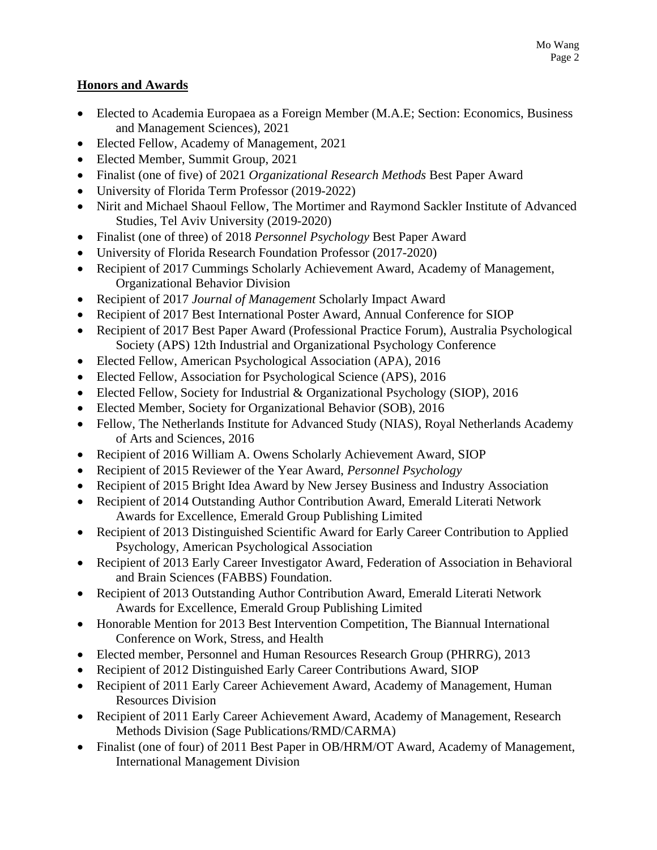## **Honors and Awards**

- Elected to Academia Europaea as a Foreign Member (M.A.E; Section: Economics, Business and Management Sciences), 2021
- Elected Fellow, Academy of Management, 2021
- Elected Member, Summit Group, 2021
- Finalist (one of five) of 2021 *Organizational Research Methods* Best Paper Award
- University of Florida Term Professor (2019-2022)
- Nirit and Michael Shaoul Fellow, The Mortimer and Raymond Sackler Institute of Advanced Studies, Tel Aviv University (2019-2020)
- Finalist (one of three) of 2018 *Personnel Psychology* Best Paper Award
- University of Florida Research Foundation Professor (2017-2020)
- Recipient of 2017 Cummings Scholarly Achievement Award, Academy of Management, Organizational Behavior Division
- Recipient of 2017 *Journal of Management* Scholarly Impact Award
- Recipient of 2017 Best International Poster Award, Annual Conference for SIOP
- Recipient of 2017 Best Paper Award (Professional Practice Forum), Australia Psychological Society (APS) 12th Industrial and Organizational Psychology Conference
- Elected Fellow, American Psychological Association (APA), 2016
- Elected Fellow, Association for Psychological Science (APS), 2016
- Elected Fellow, Society for Industrial & Organizational Psychology (SIOP), 2016
- Elected Member, Society for Organizational Behavior (SOB), 2016
- Fellow, The Netherlands Institute for Advanced Study (NIAS), Royal Netherlands Academy of Arts and Sciences, 2016
- Recipient of 2016 William A. Owens Scholarly Achievement Award, SIOP
- Recipient of 2015 Reviewer of the Year Award, *Personnel Psychology*
- Recipient of 2015 Bright Idea Award by New Jersey Business and Industry Association
- Recipient of 2014 Outstanding Author Contribution Award, Emerald Literati Network Awards for Excellence, Emerald Group Publishing Limited
- Recipient of 2013 Distinguished Scientific Award for Early Career Contribution to Applied Psychology, American Psychological Association
- Recipient of 2013 Early Career Investigator Award, Federation of Association in Behavioral and Brain Sciences (FABBS) Foundation.
- Recipient of 2013 Outstanding Author Contribution Award, Emerald Literati Network Awards for Excellence, Emerald Group Publishing Limited
- Honorable Mention for 2013 Best Intervention Competition, The Biannual International Conference on Work, Stress, and Health
- Elected member, Personnel and Human Resources Research Group (PHRRG), 2013
- Recipient of 2012 Distinguished Early Career Contributions Award, SIOP
- Recipient of 2011 Early Career Achievement Award, Academy of Management, Human Resources Division
- Recipient of 2011 Early Career Achievement Award, Academy of Management, Research Methods Division (Sage Publications/RMD/CARMA)
- Finalist (one of four) of 2011 Best Paper in OB/HRM/OT Award, Academy of Management, International Management Division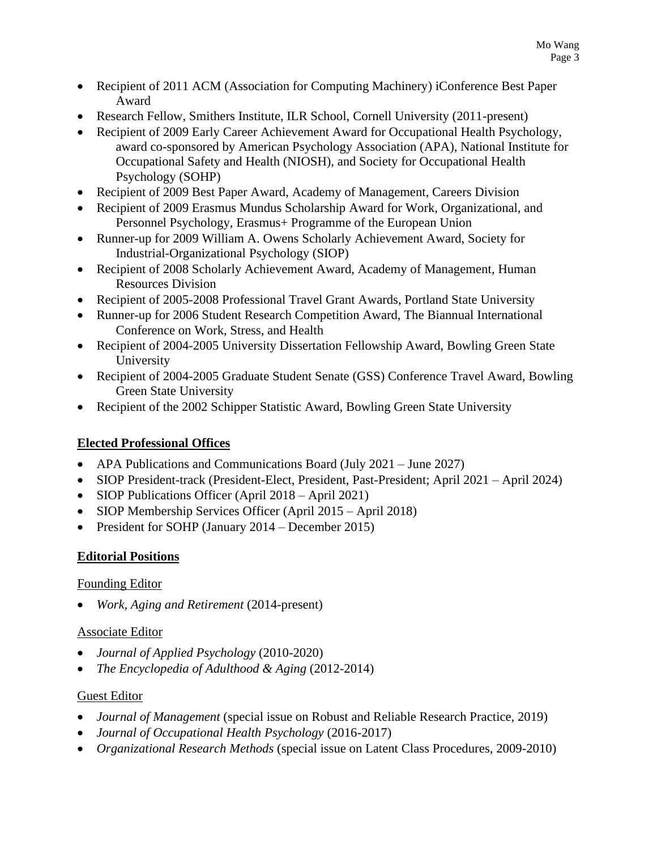- Recipient of 2011 ACM (Association for Computing Machinery) iConference Best Paper Award
- Research Fellow, Smithers Institute, ILR School, Cornell University (2011-present)
- Recipient of 2009 Early Career Achievement Award for Occupational Health Psychology, award co-sponsored by American Psychology Association (APA), National Institute for Occupational Safety and Health (NIOSH), and Society for Occupational Health Psychology (SOHP)
- Recipient of 2009 Best Paper Award, Academy of Management, Careers Division
- Recipient of 2009 Erasmus Mundus Scholarship Award for Work, Organizational, and Personnel Psychology, Erasmus+ Programme of the European Union
- Runner-up for 2009 William A. Owens Scholarly Achievement Award, Society for Industrial-Organizational Psychology (SIOP)
- Recipient of 2008 Scholarly Achievement Award, Academy of Management, Human Resources Division
- Recipient of 2005-2008 Professional Travel Grant Awards, Portland State University
- Runner-up for 2006 Student Research Competition Award, The Biannual International Conference on Work, Stress, and Health
- Recipient of 2004-2005 University Dissertation Fellowship Award, Bowling Green State University
- Recipient of 2004-2005 Graduate Student Senate (GSS) Conference Travel Award, Bowling Green State University
- Recipient of the 2002 Schipper Statistic Award, Bowling Green State University

### **Elected Professional Offices**

- APA Publications and Communications Board (July 2021 June 2027)
- SIOP President-track (President-Elect, President, Past-President; April 2021 April 2024)
- SIOP Publications Officer (April 2018 April 2021)
- SIOP Membership Services Officer (April 2015 April 2018)
- President for SOHP (January 2014 December 2015)

### **Editorial Positions**

### Founding Editor

• *Work, Aging and Retirement* (2014-present)

### Associate Editor

- *Journal of Applied Psychology* (2010-2020)
- *The Encyclopedia of Adulthood & Aging* (2012-2014)

### Guest Editor

- *Journal of Management* (special issue on Robust and Reliable Research Practice, 2019)
- *Journal of Occupational Health Psychology* (2016-2017)
- *Organizational Research Methods* (special issue on Latent Class Procedures, 2009-2010)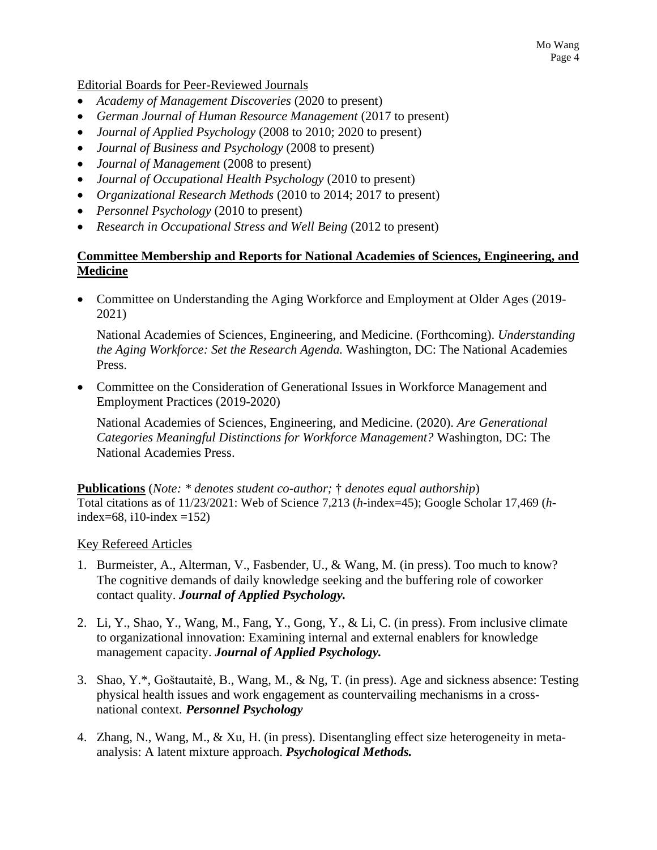Mo Wang Page 4

Editorial Boards for Peer-Reviewed Journals

- *Academy of Management Discoveries* (2020 to present)
- *German Journal of Human Resource Management* (2017 to present)
- *Journal of Applied Psychology* (2008 to 2010; 2020 to present)
- *Journal of Business and Psychology* (2008 to present)
- *Journal of Management* (2008 to present)
- *Journal of Occupational Health Psychology* (2010 to present)
- *Organizational Research Methods* (2010 to 2014; 2017 to present)
- *Personnel Psychology* (2010 to present)
- *Research in Occupational Stress and Well Being* (2012 to present)

### **Committee Membership and Reports for National Academies of Sciences, Engineering, and Medicine**

• Committee on Understanding the Aging Workforce and Employment at Older Ages (2019- 2021)

National Academies of Sciences, Engineering, and Medicine. (Forthcoming). *Understanding the Aging Workforce: Set the Research Agenda.* Washington, DC: The National Academies Press.

• Committee on the Consideration of Generational Issues in Workforce Management and Employment Practices (2019-2020)

National Academies of Sciences, Engineering, and Medicine. (2020). *Are Generational Categories Meaningful Distinctions for Workforce Management?* Washington, DC: The National Academies Press.

**Publications** (*Note: \* denotes student co-author;* † *denotes equal authorship*) Total citations as of 11/23/2021: Web of Science 7,213 (*h*-index=45); Google Scholar 17,469 (*h*index=68, i10-index =152)

#### Key Refereed Articles

- 1. Burmeister, A., Alterman, V., Fasbender, U., & Wang, M. (in press). Too much to know? The cognitive demands of daily knowledge seeking and the buffering role of coworker contact quality. *Journal of Applied Psychology.*
- 2. Li, Y., Shao, Y., Wang, M., Fang, Y., Gong, Y., & Li, C. (in press). From inclusive climate to organizational innovation: Examining internal and external enablers for knowledge management capacity. *Journal of Applied Psychology.*
- 3. Shao, Y.\*, Goštautaitė, B., Wang, M., & Ng, T. (in press). Age and sickness absence: Testing physical health issues and work engagement as countervailing mechanisms in a crossnational context. *Personnel Psychology*
- 4. Zhang, N., Wang, M., & Xu, H. (in press). Disentangling effect size heterogeneity in metaanalysis: A latent mixture approach. *Psychological Methods.*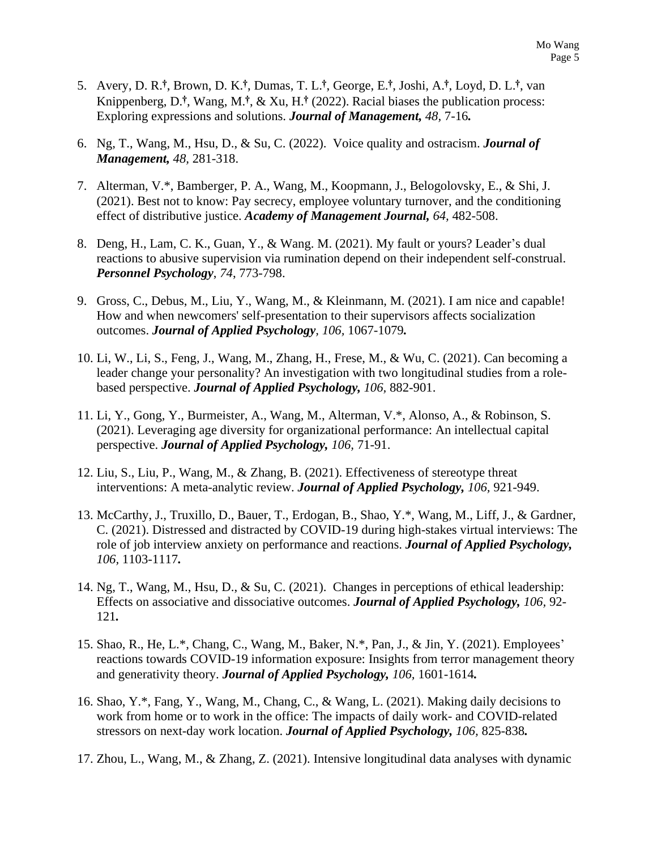- 5. Avery, D. R.**†**, Brown, D. K.**†**, Dumas, T. L.**†**, George, E. **†**, Joshi, A. **†**, Loyd, D. L.**†**, van Knippenberg, D.**†**, Wang, M.**†**, & Xu, H.**†** (2022). Racial biases the publication process: Exploring expressions and solutions. *Journal of Management, 48,* 7-16*.*
- 6. Ng, T., Wang, M., Hsu, D., & Su, C. (2022). Voice quality and ostracism. *Journal of Management, 48,* 281-318.
- 7. Alterman, V.\*, Bamberger, P. A., Wang, M., Koopmann, J., Belogolovsky, E., & Shi, J. (2021). Best not to know: Pay secrecy, employee voluntary turnover, and the conditioning effect of distributive justice. *Academy of Management Journal, 64,* 482-508.
- 8. Deng, H., Lam, C. K., Guan, Y., & Wang. M. (2021). My fault or yours? Leader's dual reactions to abusive supervision via rumination depend on their independent self-construal. *Personnel Psychology*, *74*, 773-798.
- 9. Gross, C., Debus, M., Liu, Y., Wang, M., & Kleinmann, M. (2021). I am nice and capable! How and when newcomers' self-presentation to their supervisors affects socialization outcomes. *Journal of Applied Psychology, 106,* 1067-1079*.*
- 10. Li, W., Li, S., Feng, J., Wang, M., Zhang, H., Frese, M., & Wu, C. (2021). Can becoming a leader change your personality? An investigation with two longitudinal studies from a rolebased perspective. *Journal of Applied Psychology, 106,* 882-901.
- 11. Li, Y., Gong, Y., Burmeister, A., Wang, M., Alterman, V.\*, Alonso, A., & Robinson, S. (2021). Leveraging age diversity for organizational performance: An intellectual capital perspective. *Journal of Applied Psychology, 106,* 71-91.
- 12. Liu, S., Liu, P., Wang, M., & Zhang, B. (2021). Effectiveness of stereotype threat interventions: A meta-analytic review. *Journal of Applied Psychology, 106,* 921-949.
- 13. McCarthy, J., Truxillo, D., Bauer, T., Erdogan, B., Shao, Y.\*, Wang, M., Liff, J., & Gardner, C. (2021). Distressed and distracted by COVID-19 during high-stakes virtual interviews: The role of job interview anxiety on performance and reactions. *Journal of Applied Psychology, 106,* 1103-1117*.*
- 14. Ng, T., Wang, M., Hsu, D., & Su, C. (2021). Changes in perceptions of ethical leadership: Effects on associative and dissociative outcomes. *Journal of Applied Psychology, 106,* 92- 121*.*
- 15. Shao, R., He, L.\*, Chang, C., Wang, M., Baker, N.\*, Pan, J., & Jin, Y. (2021). Employees' reactions towards COVID-19 information exposure: Insights from terror management theory and generativity theory. *Journal of Applied Psychology, 106,* 1601-1614*.*
- 16. Shao, Y.\*, Fang, Y., Wang, M., Chang, C., & Wang, L. (2021). Making daily decisions to work from home or to work in the office: The impacts of daily work- and COVID-related stressors on next-day work location. *Journal of Applied Psychology, 106,* 825-838*.*
- 17. Zhou, L., Wang, M., & Zhang, Z. (2021). Intensive longitudinal data analyses with dynamic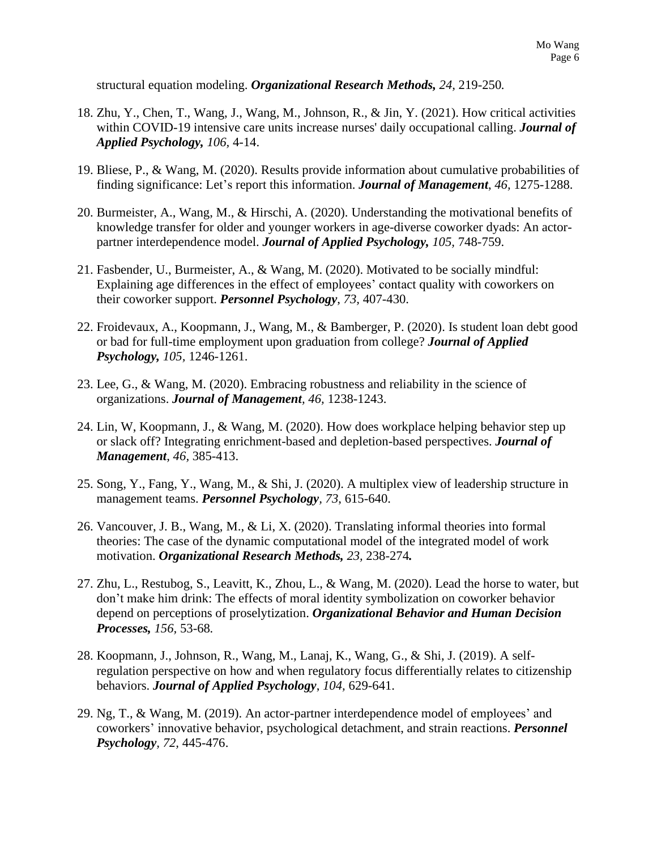structural equation modeling. *Organizational Research Methods, 24,* 219-250*.*

- 18. Zhu, Y., Chen, T., Wang, J., Wang, M., Johnson, R., & Jin, Y. (2021). How critical activities within COVID-19 intensive care units increase nurses' daily occupational calling. *Journal of Applied Psychology, 106,* 4-14.
- 19. Bliese, P., & Wang, M. (2020). Results provide information about cumulative probabilities of finding significance: Let's report this information. *Journal of Management*, *46,* 1275-1288.
- 20. Burmeister, A., Wang, M., & Hirschi, A. (2020). Understanding the motivational benefits of knowledge transfer for older and younger workers in age-diverse coworker dyads: An actorpartner interdependence model. *Journal of Applied Psychology, 105,* 748-759.
- 21. Fasbender, U., Burmeister, A., & Wang, M. (2020). Motivated to be socially mindful: Explaining age differences in the effect of employees' contact quality with coworkers on their coworker support. *Personnel Psychology*, *73,* 407-430.
- 22. Froidevaux, A., Koopmann, J., Wang, M., & Bamberger, P. (2020). Is student loan debt good or bad for full-time employment upon graduation from college? *Journal of Applied Psychology, 105,* 1246-1261.
- 23. Lee, G., & Wang, M. (2020). Embracing robustness and reliability in the science of organizations. *Journal of Management, 46,* 1238-1243.
- 24. Lin, W, Koopmann, J., & Wang, M. (2020). How does workplace helping behavior step up or slack off? Integrating enrichment-based and depletion-based perspectives. *Journal of Management*, *46,* 385-413.
- 25. Song, Y., Fang, Y., Wang, M., & Shi, J. (2020). A multiplex view of leadership structure in management teams. *Personnel Psychology, 73*, 615-640.
- 26. Vancouver, J. B., Wang, M., & Li, X. (2020). Translating informal theories into formal theories: The case of the dynamic computational model of the integrated model of work motivation. *Organizational Research Methods, 23,* 238-274*.*
- 27. Zhu, L., Restubog, S., Leavitt, K., Zhou, L., & Wang, M. (2020). Lead the horse to water, but don't make him drink: The effects of moral identity symbolization on coworker behavior depend on perceptions of proselytization. *Organizational Behavior and Human Decision Processes, 156,* 53-68*.*
- 28. Koopmann, J., Johnson, R., Wang, M., Lanaj, K., Wang, G., & Shi, J. (2019). A selfregulation perspective on how and when regulatory focus differentially relates to citizenship behaviors. *Journal of Applied Psychology*, *104,* 629-641.
- 29. Ng, T., & Wang, M. (2019). An actor-partner interdependence model of employees' and coworkers' innovative behavior, psychological detachment, and strain reactions. *Personnel Psychology, 72,* 445-476.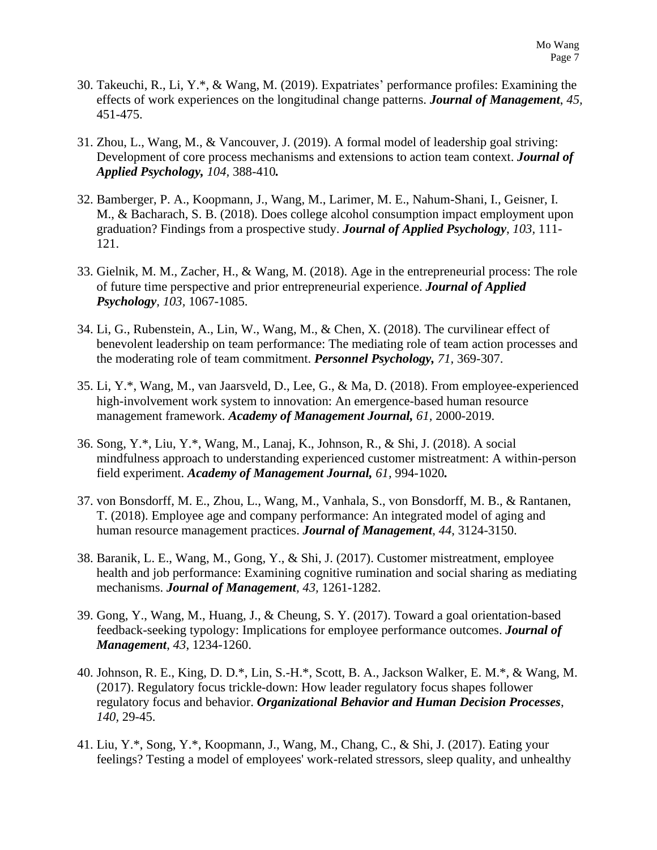- 30. Takeuchi, R., Li, Y.\*, & Wang, M. (2019). Expatriates' performance profiles: Examining the effects of work experiences on the longitudinal change patterns. *Journal of Management*, *45,* 451-475.
- 31. Zhou, L., Wang, M., & Vancouver, J. (2019). A formal model of leadership goal striving: Development of core process mechanisms and extensions to action team context. *Journal of Applied Psychology, 104,* 388-410*.*
- 32. Bamberger, P. A., Koopmann, J., Wang, M., Larimer, M. E., Nahum-Shani, I., Geisner, I. M., & Bacharach, S. B. (2018). Does college alcohol consumption impact employment upon graduation? Findings from a prospective study. *Journal of Applied Psychology*, *103,* 111- 121.
- 33. Gielnik, M. M., Zacher, H., & Wang, M. (2018). Age in the entrepreneurial process: The role of future time perspective and prior entrepreneurial experience. *Journal of Applied Psychology, 103,* 1067-1085.
- 34. Li, G., Rubenstein, A., Lin, W., Wang, M., & Chen, X. (2018). The curvilinear effect of benevolent leadership on team performance: The mediating role of team action processes and the moderating role of team commitment. *Personnel Psychology, 71,* 369-307.
- 35. Li, Y.\*, Wang, M., van Jaarsveld, D., Lee, G., & Ma, D. (2018). From employee-experienced high-involvement work system to innovation: An emergence-based human resource management framework. *Academy of Management Journal, 61,* 2000-2019.
- 36. Song, Y.\*, Liu, Y.\*, Wang, M., Lanaj, K., Johnson, R., & Shi, J. (2018). A social mindfulness approach to understanding experienced customer mistreatment: A within-person field experiment. *Academy of Management Journal, 61,* 994-1020*.*
- 37. von Bonsdorff, M. E., Zhou, L., Wang, M., Vanhala, S., von Bonsdorff, M. B., & Rantanen, T. (2018). Employee age and company performance: An integrated model of aging and human resource management practices. *Journal of Management*, *44*, 3124-3150.
- 38. Baranik, L. E., Wang, M., Gong, Y., & Shi, J. (2017). Customer mistreatment, employee health and job performance: Examining cognitive rumination and social sharing as mediating mechanisms. *Journal of Management, 43,* 1261-1282.
- 39. Gong, Y., Wang, M., Huang, J., & Cheung, S. Y. (2017). Toward a goal orientation-based feedback-seeking typology: Implications for employee performance outcomes. *Journal of Management*, *43*, 1234-1260.
- 40. Johnson, R. E., King, D. D.\*, Lin, S.-H.\*, Scott, B. A., Jackson Walker, E. M.\*, & Wang, M. (2017). Regulatory focus trickle-down: How leader regulatory focus shapes follower regulatory focus and behavior. *Organizational Behavior and Human Decision Processes*, *140,* 29-45.
- 41. Liu, Y.\*, Song, Y.\*, Koopmann, J., Wang, M., Chang, C., & Shi, J. (2017). Eating your feelings? Testing a model of employees' work-related stressors, sleep quality, and unhealthy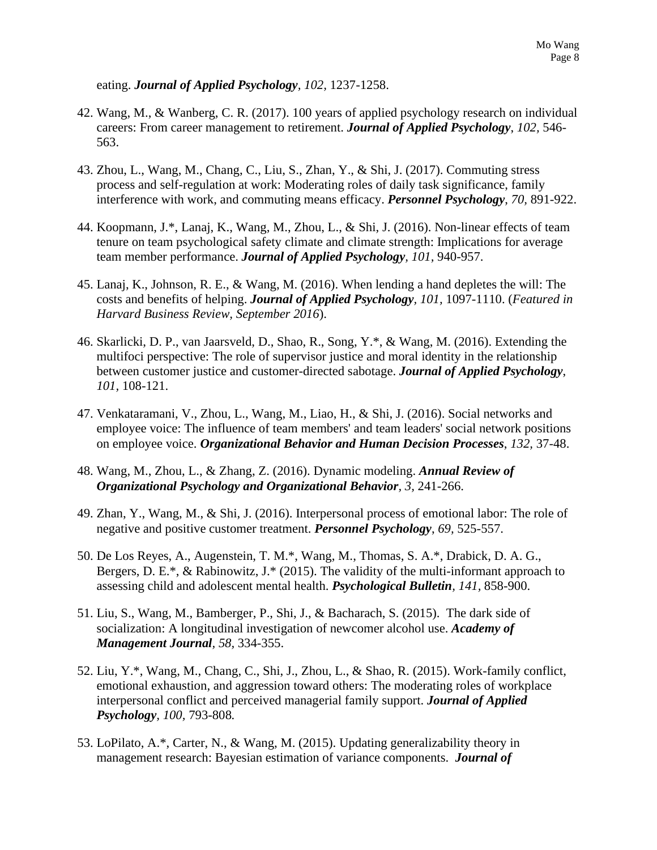eating. *Journal of Applied Psychology, 102,* 1237-1258.

- 42. Wang, M., & Wanberg, C. R. (2017). 100 years of applied psychology research on individual careers: From career management to retirement. *Journal of Applied Psychology*, *102,* 546- 563.
- 43. Zhou, L., Wang, M., Chang, C., Liu, S., Zhan, Y., & Shi, J. (2017). Commuting stress process and self-regulation at work: Moderating roles of daily task significance, family interference with work, and commuting means efficacy. *Personnel Psychology*, *70,* 891-922.
- 44. Koopmann, J.\*, Lanaj, K., Wang, M., Zhou, L., & Shi, J. (2016). Non-linear effects of team tenure on team psychological safety climate and climate strength: Implications for average team member performance. *Journal of Applied Psychology, 101,* 940-957.
- 45. Lanaj, K., Johnson, R. E., & Wang, M. (2016). When lending a hand depletes the will: The costs and benefits of helping. *Journal of Applied Psychology, 101,* 1097-1110. (*Featured in Harvard Business Review, September 2016*).
- 46. Skarlicki, D. P., van Jaarsveld, D., Shao, R., Song, Y.\*, & Wang, M. (2016). Extending the multifoci perspective: The role of supervisor justice and moral identity in the relationship between customer justice and customer-directed sabotage. *Journal of Applied Psychology*, *101,* 108-121.
- 47. Venkataramani, V., Zhou, L., Wang, M., Liao, H., & Shi, J. (2016). Social networks and employee voice: The influence of team members' and team leaders' social network positions on employee voice. *Organizational Behavior and Human Decision Processes*, *132,* 37-48.
- 48. Wang, M., Zhou, L., & Zhang, Z. (2016). Dynamic modeling. *Annual Review of Organizational Psychology and Organizational Behavior, 3,* 241-266.
- 49. Zhan, Y., Wang, M., & Shi, J. (2016). Interpersonal process of emotional labor: The role of negative and positive customer treatment. *Personnel Psychology*, *69,* 525-557.
- 50. De Los Reyes, A., Augenstein, T. M.\*, Wang, M., Thomas, S. A.\*, Drabick, D. A. G., Bergers, D. E.\*, & Rabinowitz, J.\* (2015). The validity of the multi-informant approach to assessing child and adolescent mental health. *Psychological Bulletin, 141,* 858-900.
- 51. Liu, S., Wang, M., Bamberger, P., Shi, J., & Bacharach, S. (2015). The dark side of socialization: A longitudinal investigation of newcomer alcohol use. *Academy of Management Journal, 58,* 334-355.
- 52. Liu, Y.\*, Wang, M., Chang, C., Shi, J., Zhou, L., & Shao, R. (2015). Work-family conflict, emotional exhaustion, and aggression toward others: The moderating roles of workplace interpersonal conflict and perceived managerial family support. *Journal of Applied Psychology, 100,* 793-808*.*
- 53. LoPilato, A.\*, Carter, N., & Wang, M. (2015). Updating generalizability theory in management research: Bayesian estimation of variance components. *Journal of*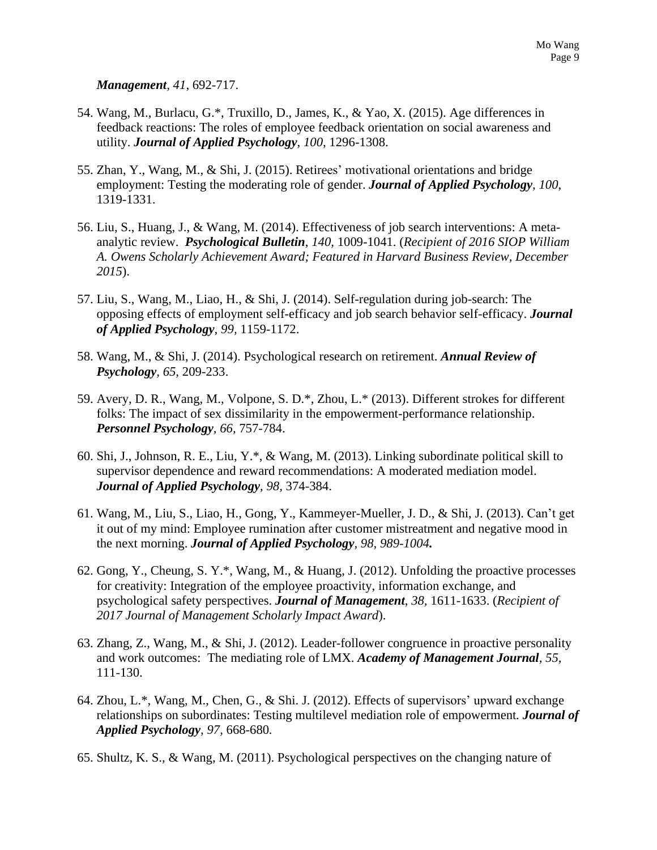*Management, 41,* 692-717.

- 54. Wang, M., Burlacu, G.\*, Truxillo, D., James, K., & Yao, X. (2015). Age differences in feedback reactions: The roles of employee feedback orientation on social awareness and utility. *Journal of Applied Psychology*, *100,* 1296-1308.
- 55. Zhan, Y., Wang, M., & Shi, J. (2015). Retirees' motivational orientations and bridge employment: Testing the moderating role of gender. *Journal of Applied Psychology, 100*, 1319-1331.
- 56. Liu, S., Huang, J., & Wang, M. (2014). Effectiveness of job search interventions: A metaanalytic review. *Psychological Bulletin*, *140,* 1009-1041. (*Recipient of 2016 SIOP William A. Owens Scholarly Achievement Award; Featured in Harvard Business Review, December 2015*).
- 57. Liu, S., Wang, M., Liao, H., & Shi, J. (2014). Self-regulation during job-search: The opposing effects of employment self-efficacy and job search behavior self-efficacy. *Journal of Applied Psychology, 99,* 1159-1172.
- 58. Wang, M., & Shi, J. (2014). Psychological research on retirement. *Annual Review of Psychology, 65,* 209-233.
- 59. Avery, D. R., Wang, M., Volpone, S. D.\*, Zhou, L.\* (2013). Different strokes for different folks: The impact of sex dissimilarity in the empowerment-performance relationship. *Personnel Psychology, 66,* 757-784.
- 60. Shi, J., Johnson, R. E., Liu, Y.\*, & Wang, M. (2013). Linking subordinate political skill to supervisor dependence and reward recommendations: A moderated mediation model. *Journal of Applied Psychology, 98,* 374-384.
- 61. Wang, M., Liu, S., Liao, H., Gong, Y., Kammeyer-Mueller, J. D., & Shi, J. (2013). Can't get it out of my mind: Employee rumination after customer mistreatment and negative mood in the next morning. *Journal of Applied Psychology, 98, 989-1004.*
- 62. Gong, Y., Cheung, S. Y.\*, Wang, M., & Huang, J. (2012). Unfolding the proactive processes for creativity: Integration of the employee proactivity, information exchange, and psychological safety perspectives. *Journal of Management*, *38,* 1611-1633. (*Recipient of 2017 Journal of Management Scholarly Impact Award*).
- 63. Zhang, Z., Wang, M., & Shi, J. (2012). Leader-follower congruence in proactive personality and work outcomes: The mediating role of LMX. *Academy of Management Journal, 55,*  111-130.
- 64. Zhou, L.\*, Wang, M., Chen, G., & Shi. J. (2012). Effects of supervisors' upward exchange relationships on subordinates: Testing multilevel mediation role of empowerment*. Journal of Applied Psychology, 97,* 668-680*.*
- 65. Shultz, K. S., & Wang, M. (2011). Psychological perspectives on the changing nature of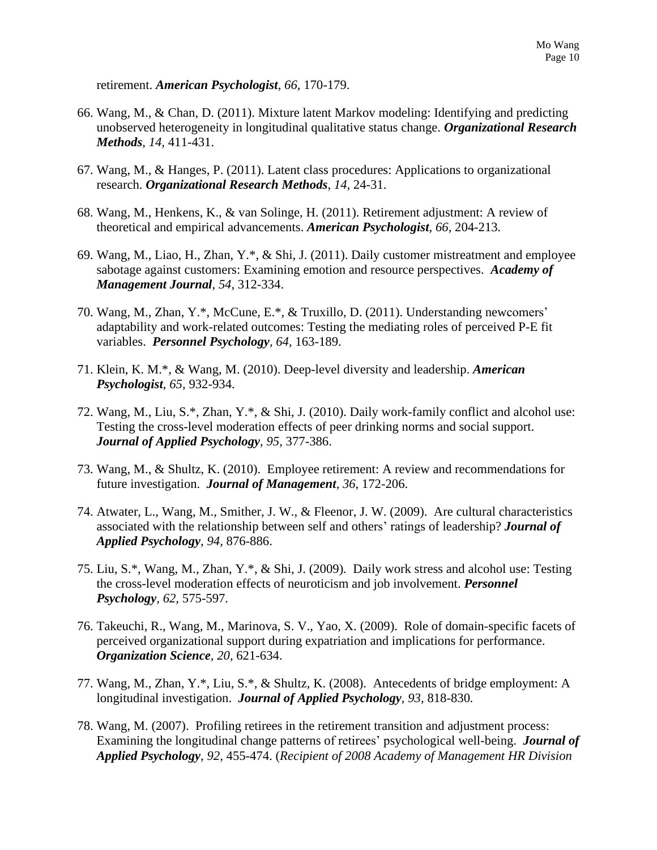retirement. *American Psychologist, 66,* 170-179.

- 66. Wang, M., & Chan, D. (2011). Mixture latent Markov modeling: Identifying and predicting unobserved heterogeneity in longitudinal qualitative status change. *Organizational Research Methods*, *14,* 411-431.
- 67. Wang, M., & Hanges, P. (2011). Latent class procedures: Applications to organizational research. *Organizational Research Methods*, *14,* 24-31.
- 68. Wang, M., Henkens, K., & van Solinge, H. (2011). Retirement adjustment: A review of theoretical and empirical advancements. *American Psychologist, 66,* 204-213*.*
- 69. Wang, M., Liao, H., Zhan, Y.\*, & Shi, J. (2011). Daily customer mistreatment and employee sabotage against customers: Examining emotion and resource perspectives. *Academy of Management Journal*, *54,* 312-334.
- 70. Wang, M., Zhan, Y.\*, McCune, E.\*, & Truxillo, D. (2011). Understanding newcomers' adaptability and work-related outcomes: Testing the mediating roles of perceived P-E fit variables. *Personnel Psychology, 64,* 163-189.
- 71. Klein, K. M.\*, & Wang, M. (2010). Deep-level diversity and leadership. *American Psychologist*, *65,* 932-934.
- 72. Wang, M., Liu, S.\*, Zhan, Y.\*, & Shi, J. (2010). Daily work-family conflict and alcohol use: Testing the cross-level moderation effects of peer drinking norms and social support. *Journal of Applied Psychology, 95,* 377-386.
- 73. Wang, M., & Shultz, K. (2010). Employee retirement: A review and recommendations for future investigation. *Journal of Management, 36*, 172-206.
- 74. Atwater, L., Wang, M., Smither, J. W., & Fleenor, J. W. (2009).Are cultural characteristics associated with the relationship between self and others' ratings of leadership? *Journal of Applied Psychology, 94,* 876-886.
- 75. Liu, S.\*, Wang, M., Zhan, Y.\*, & Shi, J. (2009)*.* Daily work stress and alcohol use: Testing the cross-level moderation effects of neuroticism and job involvement. *Personnel Psychology, 62,* 575-597*.*
- 76. Takeuchi, R., Wang, M., Marinova, S. V., Yao, X. (2009). Role of domain-specific facets of perceived organizational support during expatriation and implications for performance. *Organization Science, 20,* 621-634.
- 77. Wang, M., Zhan, Y.\*, Liu, S.\*, & Shultz, K. (2008). Antecedents of bridge employment: A longitudinal investigation. *Journal of Applied Psychology, 93,* 818-830*.*
- 78. Wang, M. (2007). Profiling retirees in the retirement transition and adjustment process: Examining the longitudinal change patterns of retirees' psychological well-being. *Journal of Applied Psychology, 92,* 455-474. (*Recipient of 2008 Academy of Management HR Division*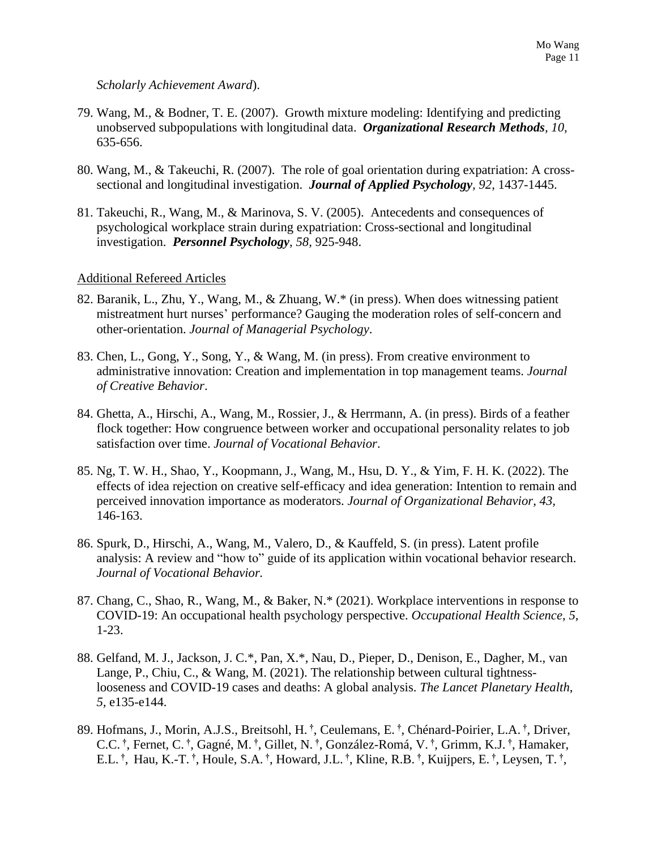#### *Scholarly Achievement Award*).

- 79. Wang, M., & Bodner, T. E. (2007). Growth mixture modeling: Identifying and predicting unobserved subpopulations with longitudinal data. *Organizational Research Methods, 10,*  635-656.
- 80. Wang, M., & Takeuchi, R. (2007). The role of goal orientation during expatriation: A crosssectional and longitudinal investigation. *Journal of Applied Psychology, 92,* 1437-1445.
- 81. Takeuchi, R., Wang, M., & Marinova, S. V. (2005). Antecedents and consequences of psychological workplace strain during expatriation: Cross-sectional and longitudinal investigation. *Personnel Psychology, 58,* 925-948.

### Additional Refereed Articles

- 82. Baranik, L., Zhu, Y., Wang, M., & Zhuang, W.\* (in press). When does witnessing patient mistreatment hurt nurses' performance? Gauging the moderation roles of self-concern and other-orientation. *Journal of Managerial Psychology*.
- 83. Chen, L., Gong, Y., Song, Y., & Wang, M. (in press). From creative environment to administrative innovation: Creation and implementation in top management teams. *Journal of Creative Behavior*.
- 84. Ghetta, A., Hirschi, A., Wang, M., Rossier, J., & Herrmann, A. (in press). Birds of a feather flock together: How congruence between worker and occupational personality relates to job satisfaction over time. *Journal of Vocational Behavior*.
- 85. Ng, T. W. H., Shao, Y., Koopmann, J., Wang, M., Hsu, D. Y., & Yim, F. H. K. (2022). The effects of idea rejection on creative self-efficacy and idea generation: Intention to remain and perceived innovation importance as moderators. *Journal of Organizational Behavior*, *43,* 146-163.
- 86. Spurk, D., Hirschi, A., Wang, M., Valero, D., & Kauffeld, S. (in press). Latent profile analysis: A review and "how to" guide of its application within vocational behavior research. *Journal of Vocational Behavior.*
- 87. Chang, C., Shao, R., Wang, M., & Baker, N.\* (2021). Workplace interventions in response to COVID-19: An occupational health psychology perspective. *Occupational Health Science*, *5*, 1-23.
- 88. Gelfand, M. J., Jackson, J. C.\*, Pan, X.\*, Nau, D., Pieper, D., Denison, E., Dagher, M., van Lange, P., Chiu, C., & Wang, M. (2021). The relationship between cultural tightnesslooseness and COVID-19 cases and deaths: A global analysis. *The Lancet Planetary Health*, *5,* e135-e144.
- 89. Hofmans, J., Morin, A.J.S., Breitsohl, H. **†** , Ceulemans, E. **†** , Chénard-Poirier, L.A. **†** , Driver, C.C. **†** , Fernet, C. **†** , Gagné, M. **†** , Gillet, N. **†** , González-Romá, V. **†** , Grimm, K.J. **†** , Hamaker, E.L. **†** , Hau, K.-T. **†** , Houle, S.A. **†** , Howard, J.L. **†** , Kline, R.B. **†** , Kuijpers, E. **†** , Leysen, T. **†** ,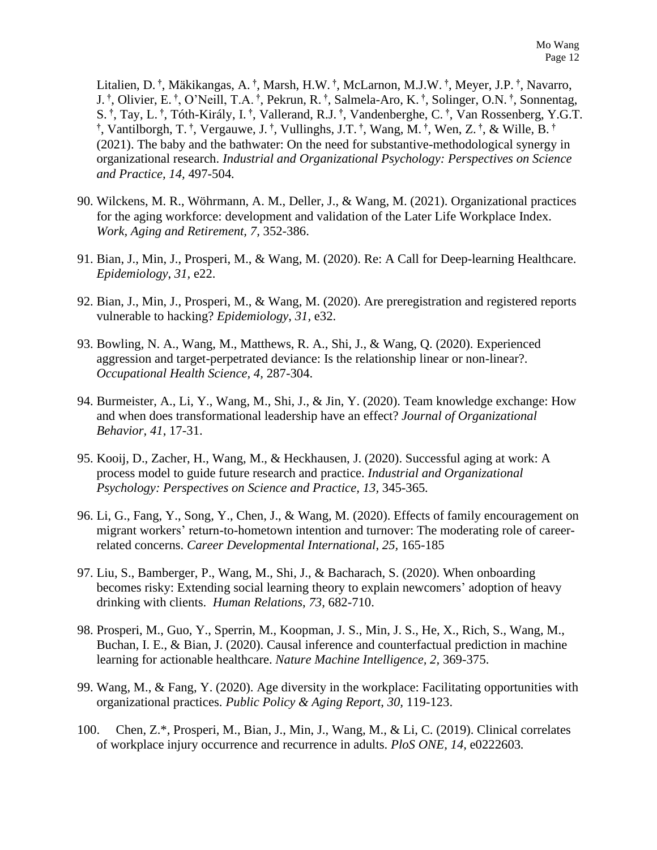Litalien, D. **†** , Mäkikangas, A. **†** , Marsh, H.W. **†** , McLarnon, M.J.W. **†** , Meyer, J.P. **†** , Navarro, J. **†** , Olivier, E. **†** , O'Neill, T.A. **†** , Pekrun, R. **†** , Salmela-Aro, K. **†** , Solinger, O.N. **†** , Sonnentag, S. **†** , Tay, L. **†** , Tóth-Király, I. **†** , Vallerand, R.J. **†** , Vandenberghe, C. **†** , Van Rossenberg, Y.G.T. **†** , Vantilborgh, T. **†** , Vergauwe, J. **†** , Vullinghs, J.T. **†** , Wang, M. **†** , Wen, Z. **†** , & Wille, B. **†** (2021). The baby and the bathwater: On the need for substantive-methodological synergy in organizational research. *Industrial and Organizational Psychology: Perspectives on Science and Practice, 14,* 497-504*.*

- 90. Wilckens, M. R., Wöhrmann, A. M., Deller, J., & Wang, M. (2021). Organizational practices for the aging workforce: development and validation of the Later Life Workplace Index. *Work, Aging and Retirement, 7,* 352-386.
- 91. Bian, J., Min, J., Prosperi, M., & Wang, M. (2020). Re: A Call for Deep-learning Healthcare. *Epidemiology*, *31,* e22.
- 92. Bian, J., Min, J., Prosperi, M., & Wang, M. (2020). Are preregistration and registered reports vulnerable to hacking? *Epidemiology*, *31,* e32.
- 93. Bowling, N. A., Wang, M., Matthews, R. A., Shi, J., & Wang, Q. (2020). Experienced aggression and target-perpetrated deviance: Is the relationship linear or non-linear?. *Occupational Health Science, 4,* 287-304.
- 94. Burmeister, A., Li, Y., Wang, M., Shi, J., & Jin, Y. (2020). Team knowledge exchange: How and when does transformational leadership have an effect? *Journal of Organizational Behavior, 41*, 17-31.
- 95. Kooij, D., Zacher, H., Wang, M., & Heckhausen, J. (2020). Successful aging at work: A process model to guide future research and practice. *Industrial and Organizational Psychology: Perspectives on Science and Practice, 13,* 345-365*.*
- 96. Li, G., Fang, Y., Song, Y., Chen, J., & Wang, M. (2020). Effects of family encouragement on migrant workers' return-to-hometown intention and turnover: The moderating role of careerrelated concerns. *Career Developmental International*, *25,* 165-185
- 97. Liu, S., Bamberger, P., Wang, M., Shi, J., & Bacharach, S. (2020). When onboarding becomes risky: Extending social learning theory to explain newcomers' adoption of heavy drinking with clients. *Human Relations*, *73,* 682-710.
- 98. Prosperi, M., Guo, Y., Sperrin, M., Koopman, J. S., Min, J. S., He, X., Rich, S., Wang, M., Buchan, I. E., & Bian, J. (2020). Causal inference and counterfactual prediction in machine learning for actionable healthcare. *Nature Machine Intelligence, 2,* 369-375.
- 99. Wang, M., & Fang, Y. (2020). Age diversity in the workplace: Facilitating opportunities with organizational practices. *Public Policy & Aging Report*, *30,* 119-123.
- 100. Chen, Z.\*, Prosperi, M., Bian, J., Min, J., Wang, M., & Li, C. (2019). Clinical correlates of workplace injury occurrence and recurrence in adults. *PloS ONE, 14,* e0222603*.*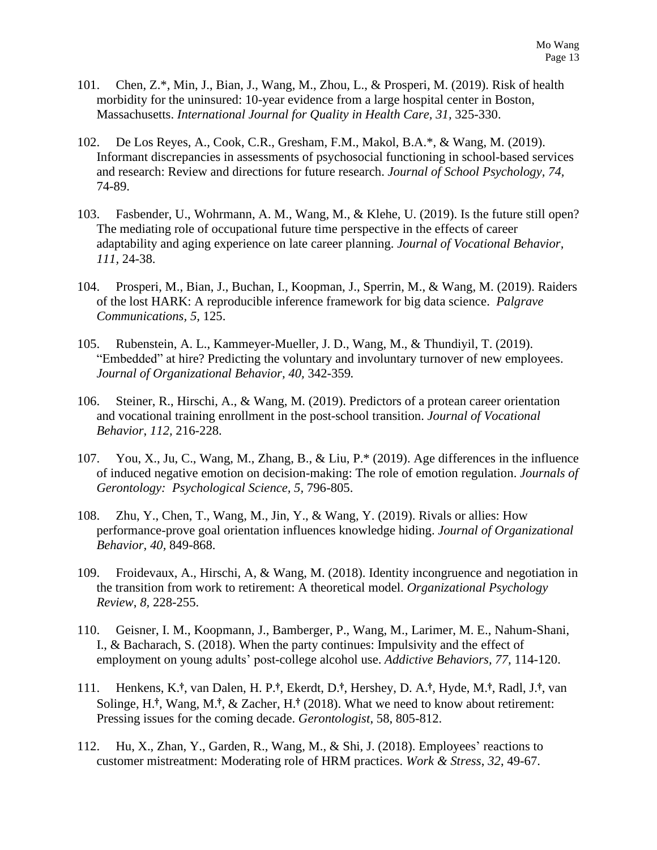- 101. Chen, Z.\*, Min, J., Bian, J., Wang, M., Zhou, L., & Prosperi, M. (2019). Risk of health morbidity for the uninsured: 10-year evidence from a large hospital center in Boston, Massachusetts. *International Journal for Quality in Health Care, 31,* 325-330.
- 102. De Los Reyes, A., Cook, C.R., Gresham, F.M., Makol, B.A.\*, & Wang, M. (2019). Informant discrepancies in assessments of psychosocial functioning in school-based services and research: Review and directions for future research. *Journal of School Psychology, 74,*  74-89.
- 103. Fasbender, U., Wohrmann, A. M., Wang, M., & Klehe, U. (2019). Is the future still open? The mediating role of occupational future time perspective in the effects of career adaptability and aging experience on late career planning. *Journal of Vocational Behavior, 111,* 24-38.
- 104. Prosperi, M., Bian, J., Buchan, I., Koopman, J., Sperrin, M., & Wang, M. (2019). Raiders of the lost HARK: A reproducible inference framework for big data science. *Palgrave Communications, 5,* 125.
- 105. Rubenstein, A. L., Kammeyer-Mueller, J. D., Wang, M., & Thundiyil, T. (2019). "Embedded" at hire? Predicting the voluntary and involuntary turnover of new employees. *Journal of Organizational Behavior, 40,* 342-359*.*
- 106. Steiner, R., Hirschi, A., & Wang, M. (2019). Predictors of a protean career orientation and vocational training enrollment in the post-school transition. *Journal of Vocational Behavior*, *112,* 216-228.
- 107. You, X., Ju, C., Wang, M., Zhang, B., & Liu, P.\* (2019). Age differences in the influence of induced negative emotion on decision-making: The role of emotion regulation. *Journals of Gerontology: Psychological Science, 5,* 796-805.
- 108. Zhu, Y., Chen, T., Wang, M., Jin, Y., & Wang, Y. (2019). Rivals or allies: How performance-prove goal orientation influences knowledge hiding. *Journal of Organizational Behavior, 40,* 849-868.
- 109. Froidevaux, A., Hirschi, A, & Wang, M. (2018). Identity incongruence and negotiation in the transition from work to retirement: A theoretical model. *Organizational Psychology Review*, *8,* 228-255.
- 110. Geisner, I. M., Koopmann, J., Bamberger, P., Wang, M., Larimer, M. E., Nahum-Shani, I., & Bacharach, S. (2018). When the party continues: Impulsivity and the effect of employment on young adults' post-college alcohol use. *Addictive Behaviors, 77,* 114-120.
- 111. Henkens, K.**†**, van Dalen, H. P. **†**, Ekerdt, D. **†**, Hershey, D. A.**†**, Hyde, M.**†**, Radl, J.**†**, van Solinge, H.**†**, Wang, M.**†**, & Zacher, H.**†** (2018). What we need to know about retirement: Pressing issues for the coming decade. *Gerontologist*, 58, 805-812.
- 112. Hu, X., Zhan, Y., Garden, R., Wang, M., & Shi, J. (2018). Employees' reactions to customer mistreatment: Moderating role of HRM practices. *Work & Stress*, *32*, 49-67.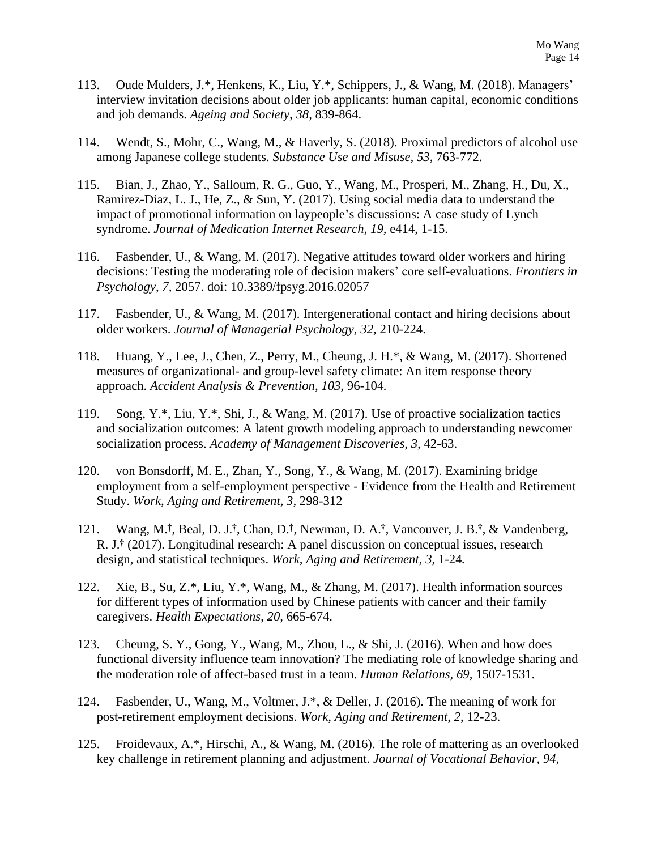- 113. Oude Mulders, J.\*, Henkens, K., Liu, Y.\*, Schippers, J., & Wang, M. (2018). Managers' interview invitation decisions about older job applicants: human capital, economic conditions and job demands. *Ageing and Society, 38,* 839-864.
- 114. Wendt, S., Mohr, C., Wang, M., & Haverly, S. (2018). Proximal predictors of alcohol use among Japanese college students. *Substance Use and Misuse, 53*, 763-772.
- 115. Bian, J., Zhao, Y., Salloum, R. G., Guo, Y., Wang, M., Prosperi, M., Zhang, H., Du, X., Ramirez-Diaz, L. J., He, Z., & Sun, Y. (2017). Using social media data to understand the impact of promotional information on laypeople's discussions: A case study of Lynch syndrome. *Journal of Medication Internet Research, 19,* e414, 1-15.
- 116. Fasbender, U., & Wang, M. (2017). Negative attitudes toward older workers and hiring decisions: Testing the moderating role of decision makers' core self-evaluations. *Frontiers in Psychology*, *7,* 2057. doi: 10.3389/fpsyg.2016.02057
- 117. Fasbender, U., & Wang, M. (2017). Intergenerational contact and hiring decisions about older workers. *Journal of Managerial Psychology, 32,* 210-224.
- 118. Huang, Y., Lee, J., Chen, Z., Perry, M., Cheung, J. H.\*, & Wang, M. (2017). Shortened measures of organizational- and group-level safety climate: An item response theory approach. *Accident Analysis & Prevention, 103,* 96-104*.*
- 119. Song, Y.\*, Liu, Y.\*, Shi, J., & Wang, M. (2017). Use of proactive socialization tactics and socialization outcomes: A latent growth modeling approach to understanding newcomer socialization process. *Academy of Management Discoveries, 3,* 42-63.
- 120. von Bonsdorff, M. E., Zhan, Y., Song, Y., & Wang, M. (2017). Examining bridge employment from a self-employment perspective - Evidence from the Health and Retirement Study. *Work, Aging and Retirement, 3,* 298-312
- 121. Wang, M.**†**, Beal, D. J.**†**, Chan, D.**†**, Newman, D. A.**†**, Vancouver, J. B.**†**, & Vandenberg, R. J. **†** (2017). Longitudinal research: A panel discussion on conceptual issues, research design, and statistical techniques. *Work, Aging and Retirement, 3,* 1-24*.*
- 122. Xie, B., Su, Z.\*, Liu, Y.\*, Wang, M., & Zhang, M. (2017). Health information sources for different types of information used by Chinese patients with cancer and their family caregivers. *Health Expectations*, *20,* 665-674.
- 123. Cheung, S. Y., Gong, Y., Wang, M., Zhou, L., & Shi, J. (2016). When and how does functional diversity influence team innovation? The mediating role of knowledge sharing and the moderation role of affect-based trust in a team. *Human Relations, 69,* 1507-1531.
- 124. Fasbender, U., Wang, M., Voltmer, J.\*, & Deller, J. (2016). The meaning of work for post-retirement employment decisions. *Work, Aging and Retirement*, *2*, 12-23.
- 125. Froidevaux, A.\*, Hirschi, A., & Wang, M. (2016). The role of mattering as an overlooked key challenge in retirement planning and adjustment. *Journal of Vocational Behavior, 94,*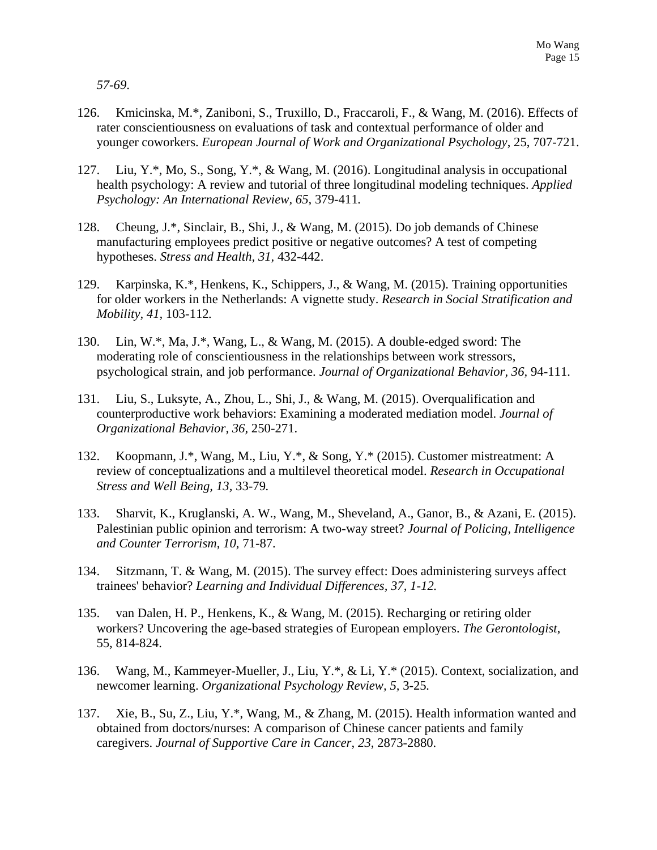*57-69*.

- 126. Kmicinska, M.\*, Zaniboni, S., Truxillo, D., Fraccaroli, F., & Wang, M. (2016). Effects of rater conscientiousness on evaluations of task and contextual performance of older and younger coworkers. *European Journal of Work and Organizational Psychology*, 25, 707-721.
- 127. Liu, Y.\*, Mo, S., Song, Y.\*, & Wang, M. (2016). Longitudinal analysis in occupational health psychology: A review and tutorial of three longitudinal modeling techniques. *Applied Psychology: An International Review, 65,* 379-411*.*
- 128. Cheung, J.\*, Sinclair, B., Shi, J., & Wang, M. (2015). Do job demands of Chinese manufacturing employees predict positive or negative outcomes? A test of competing hypotheses. *Stress and Health, 31,* 432-442.
- 129. Karpinska, K.\*, Henkens, K., Schippers, J., & Wang, M. (2015). Training opportunities for older workers in the Netherlands: A vignette study. *Research in Social Stratification and Mobility, 41,* 103-112*.*
- 130. Lin, W.\*, Ma, J.\*, Wang, L., & Wang, M. (2015). A double-edged sword: The moderating role of conscientiousness in the relationships between work stressors, psychological strain, and job performance. *Journal of Organizational Behavior, 36,* 94-111.
- 131. Liu, S., Luksyte, A., Zhou, L., Shi, J., & Wang, M. (2015). Overqualification and counterproductive work behaviors: Examining a moderated mediation model. *Journal of Organizational Behavior, 36,* 250-271.
- 132. Koopmann, J.\*, Wang, M., Liu, Y.\*, & Song, Y.\* (2015). Customer mistreatment: A review of conceptualizations and a multilevel theoretical model. *Research in Occupational Stress and Well Being, 13,* 33-79*.*
- 133. Sharvit, K., Kruglanski, A. W., Wang, M., Sheveland, A., Ganor, B., & Azani, E. (2015). Palestinian public opinion and terrorism: A two-way street? *Journal of Policing, Intelligence and Counter Terrorism*, *10*, 71-87.
- 134. Sitzmann, T. & Wang, M. (2015). The survey effect: Does administering surveys affect trainees' behavior? *Learning and Individual Differences, 37, 1-12.*
- 135. van Dalen, H. P., Henkens, K., & Wang, M. (2015). Recharging or retiring older workers? Uncovering the age-based strategies of European employers. *The Gerontologist*, 55, 814-824.
- 136. Wang, M., Kammeyer-Mueller, J., Liu, Y.\*, & Li, Y.\* (2015). Context, socialization, and newcomer learning. *Organizational Psychology Review, 5,* 3-25*.*
- 137. Xie, B., Su, Z., Liu, Y.\*, Wang, M., & Zhang, M. (2015). Health information wanted and obtained from doctors/nurses: A comparison of Chinese cancer patients and family caregivers. *Journal of Supportive Care in Cancer*, *23*, 2873-2880.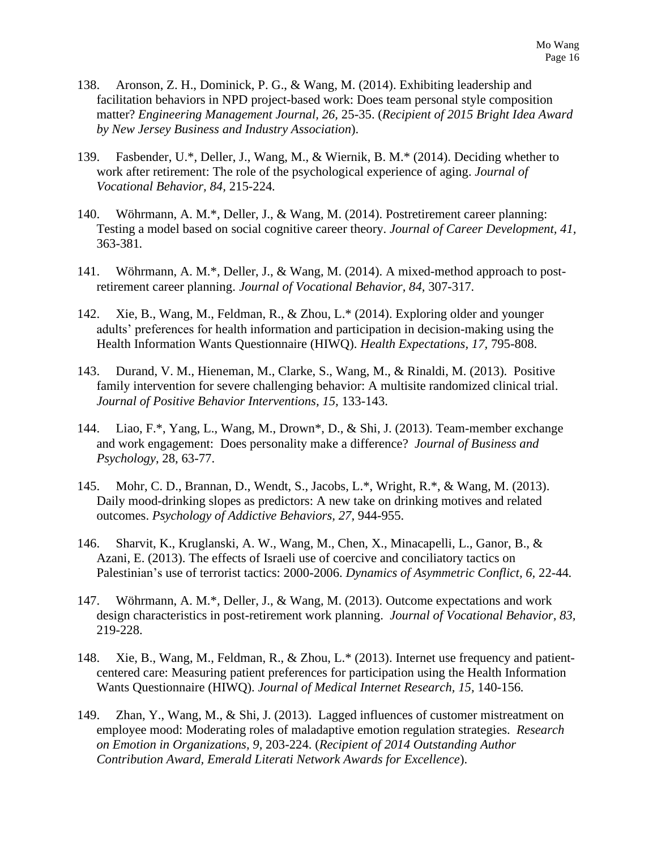- 138. Aronson, Z. H., Dominick, P. G., & Wang, M. (2014). Exhibiting leadership and facilitation behaviors in NPD project-based work: Does team personal style composition matter? *Engineering Management Journal, 26,* 25-35. (*Recipient of 2015 Bright Idea Award by New Jersey Business and Industry Association*).
- 139. Fasbender, U.\*, Deller, J., Wang, M., & Wiernik, B. M.\* (2014). Deciding whether to work after retirement: The role of the psychological experience of aging. *Journal of Vocational Behavior, 84,* 215-224*.*
- 140. Wöhrmann, A. M.\*, Deller, J., & Wang, M. (2014). Postretirement career planning: Testing a model based on social cognitive career theory. *Journal of Career Development, 41,*  363-381*.*
- 141. Wöhrmann, A. M.\*, Deller, J., & Wang, M. (2014). A mixed-method approach to postretirement career planning. *Journal of Vocational Behavior, 84,* 307-317*.*
- 142. Xie, B., Wang, M., Feldman, R., & Zhou, L.\* (2014). Exploring older and younger adults' preferences for health information and participation in decision-making using the Health Information Wants Questionnaire (HIWQ). *Health Expectations, 17,* 795-808.
- 143. Durand, V. M., Hieneman, M., Clarke, S., Wang, M., & Rinaldi, M. (2013). Positive family intervention for severe challenging behavior: A multisite randomized clinical trial. *Journal of Positive Behavior Interventions, 15,* 133-143.
- 144. Liao, F.\*, Yang, L., Wang, M., Drown\*, D., & Shi, J. (2013). Team-member exchange and work engagement: Does personality make a difference? *Journal of Business and Psychology*, 28, 63-77.
- 145. Mohr, C. D., Brannan, D., Wendt, S., Jacobs, L.\*, Wright, R.\*, & Wang, M. (2013). Daily mood-drinking slopes as predictors: A new take on drinking motives and related outcomes. *Psychology of Addictive Behaviors, 27,* 944-955.
- 146. Sharvit, K., Kruglanski, A. W., Wang, M., Chen, X., Minacapelli, L., Ganor, B., & Azani, E. (2013). The effects of Israeli use of coercive and conciliatory tactics on Palestinian's use of terrorist tactics: 2000-2006. *Dynamics of Asymmetric Conflict, 6,* 22-44*.*
- 147. Wöhrmann, A. M.\*, Deller, J., & Wang, M. (2013). Outcome expectations and work design characteristics in post-retirement work planning. *Journal of Vocational Behavior, 83,* 219-228.
- 148. Xie, B., Wang, M., Feldman, R., & Zhou, L.\* (2013). Internet use frequency and patientcentered care: Measuring patient preferences for participation using the Health Information Wants Questionnaire (HIWQ). *Journal of Medical Internet Research, 15,* 140-156*.*
- 149. Zhan, Y., Wang, M., & Shi, J. (2013). Lagged influences of customer mistreatment on employee mood: Moderating roles of maladaptive emotion regulation strategies. *Research on Emotion in Organizations, 9,* 203-224. (*Recipient of 2014 Outstanding Author Contribution Award, Emerald Literati Network Awards for Excellence*).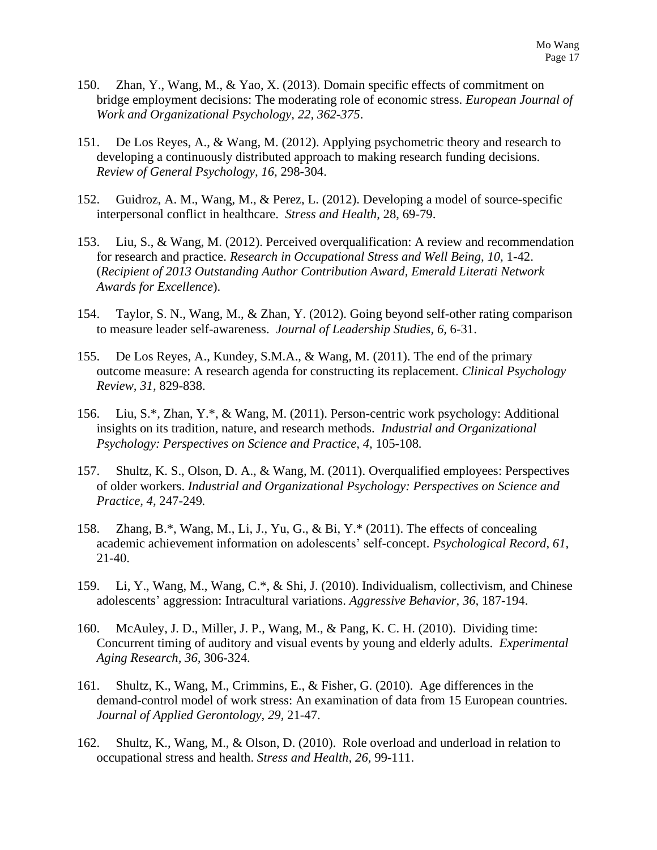- 150. Zhan, Y., Wang, M., & Yao, X. (2013). Domain specific effects of commitment on bridge employment decisions: The moderating role of economic stress. *European Journal of Work and Organizational Psychology, 22, 362-375*.
- 151. De Los Reyes, A., & Wang, M. (2012). Applying psychometric theory and research to developing a continuously distributed approach to making research funding decisions. *Review of General Psychology, 16,* 298-304.
- 152. Guidroz, A. M., Wang, M., & Perez, L. (2012). Developing a model of source-specific interpersonal conflict in healthcare. *Stress and Health*, 28, 69-79.
- 153. Liu, S., & Wang, M. (2012). Perceived overqualification: A review and recommendation for research and practice. *Research in Occupational Stress and Well Being, 10,* 1-42. (*Recipient of 2013 Outstanding Author Contribution Award, Emerald Literati Network Awards for Excellence*).
- 154. Taylor, S. N., Wang, M., & Zhan, Y. (2012). Going beyond self-other rating comparison to measure leader self-awareness. *Journal of Leadership Studies, 6,* 6-31.
- 155. De Los Reyes, A., Kundey, S.M.A., & Wang, M. (2011). The end of the primary outcome measure: A research agenda for constructing its replacement. *Clinical Psychology Review, 31,* 829-838.
- 156. Liu, S.\*, Zhan, Y.\*, & Wang, M. (2011). Person-centric work psychology: Additional insights on its tradition, nature, and research methods. *Industrial and Organizational Psychology: Perspectives on Science and Practice, 4,* 105-108*.*
- 157. Shultz, K. S., Olson, D. A., & Wang, M. (2011). Overqualified employees: Perspectives of older workers. *Industrial and Organizational Psychology: Perspectives on Science and Practice, 4,* 247-249*.*
- 158. Zhang, B.\*, Wang, M., Li, J., Yu, G., & Bi, Y.\* (2011). The effects of concealing academic achievement information on adolescents' self-concept. *Psychological Record*, *61,* 21-40.
- 159. Li, Y., Wang, M., Wang, C.\*, & Shi, J. (2010). Individualism, collectivism, and Chinese adolescents' aggression: Intracultural variations. *Aggressive Behavior*, *36,* 187-194.
- 160. McAuley, J. D., Miller, J. P., Wang, M., & Pang, K. C. H. (2010). Dividing time: Concurrent timing of auditory and visual events by young and elderly adults. *Experimental Aging Research, 36,* 306-324.
- 161. Shultz, K., Wang, M., Crimmins, E., & Fisher, G. (2010). Age differences in the demand-control model of work stress: An examination of data from 15 European countries. *Journal of Applied Gerontology, 29,* 21-47.
- 162. Shultz, K., Wang, M., & Olson, D. (2010). Role overload and underload in relation to occupational stress and health. *Stress and Health, 26,* 99-111.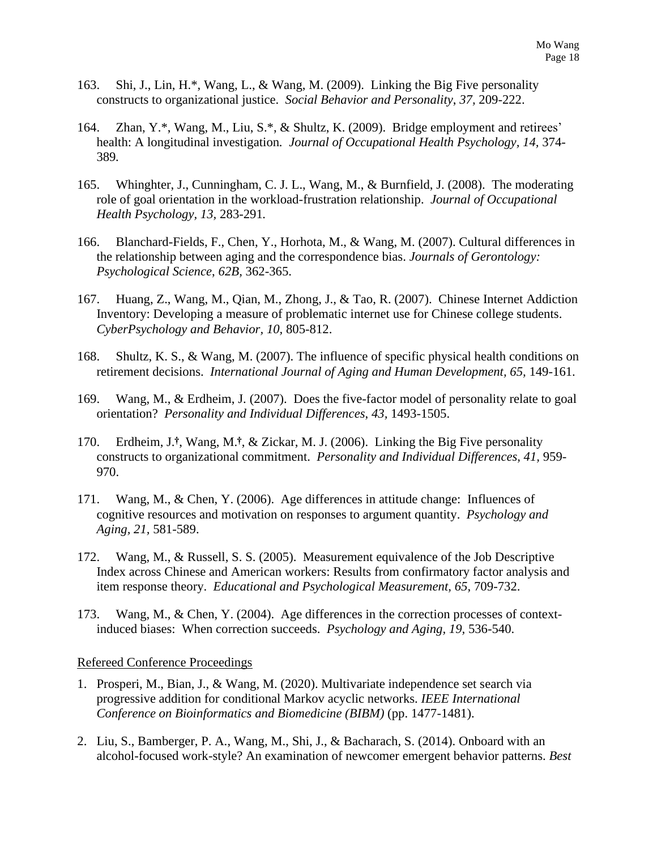- 163. Shi, J., Lin, H.\*, Wang, L., & Wang, M. (2009). Linking the Big Five personality constructs to organizational justice. *Social Behavior and Personality*, *37,* 209-222.
- 164. Zhan, Y.\*, Wang, M., Liu, S.\*, & Shultz, K. (2009). Bridge employment and retirees' health: A longitudinal investigation*. Journal of Occupational Health Psychology, 14,* 374- 389*.*
- 165. Whinghter, J., Cunningham, C. J. L., Wang, M., & Burnfield, J. (2008). The moderating role of goal orientation in the workload-frustration relationship. *Journal of Occupational Health Psychology, 13,* 283-291*.*
- 166. Blanchard-Fields, F., Chen, Y., Horhota, M., & Wang, M. (2007). Cultural differences in the relationship between aging and the correspondence bias. *Journals of Gerontology: Psychological Science*, *62B,* 362-365.
- 167. Huang, Z., Wang, M., Qian, M., Zhong, J., & Tao, R. (2007). Chinese Internet Addiction Inventory: Developing a measure of problematic internet use for Chinese college students. *CyberPsychology and Behavior, 10,* 805-812.
- 168. Shultz, K. S., & Wang, M. (2007). The influence of specific physical health conditions on retirement decisions. *International Journal of Aging and Human Development, 65,* 149-161.
- 169. Wang, M., & Erdheim, J. (2007). Does the five-factor model of personality relate to goal orientation? *Personality and Individual Differences*, *43,* 1493-1505.
- 170. Erdheim, J. **†**, Wang, M.**†**, & Zickar, M. J. (2006). Linking the Big Five personality constructs to organizational commitment. *Personality and Individual Differences, 41,* 959- 970.
- 171. Wang, M., & Chen, Y. (2006). Age differences in attitude change: Influences of cognitive resources and motivation on responses to argument quantity. *Psychology and Aging, 21,* 581-589.
- 172. Wang, M., & Russell, S. S. (2005). Measurement equivalence of the Job Descriptive Index across Chinese and American workers: Results from confirmatory factor analysis and item response theory. *Educational and Psychological Measurement, 65,* 709-732.
- 173. Wang, M., & Chen, Y. (2004). Age differences in the correction processes of contextinduced biases: When correction succeeds. *Psychology and Aging, 19,* 536-540.

#### Refereed Conference Proceedings

- 1. Prosperi, M., Bian, J., & Wang, M. (2020). Multivariate independence set search via progressive addition for conditional Markov acyclic networks. *IEEE International Conference on Bioinformatics and Biomedicine (BIBM)* (pp. 1477-1481).
- 2. Liu, S., Bamberger, P. A., Wang, M., Shi, J., & Bacharach, S. (2014). Onboard with an alcohol-focused work-style? An examination of newcomer emergent behavior patterns. *Best*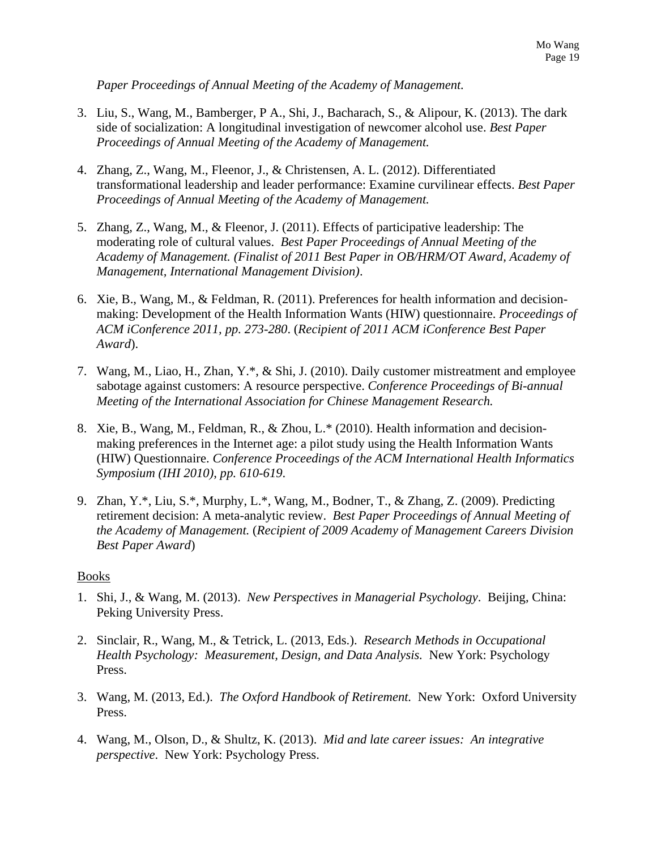*Paper Proceedings of Annual Meeting of the Academy of Management.*

- 3. Liu, S., Wang, M., Bamberger, P A., Shi, J., Bacharach, S., & Alipour, K. (2013). The dark side of socialization: A longitudinal investigation of newcomer alcohol use. *Best Paper Proceedings of Annual Meeting of the Academy of Management.*
- 4. Zhang, Z., Wang, M., Fleenor, J., & Christensen, A. L. (2012). Differentiated transformational leadership and leader performance: Examine curvilinear effects. *Best Paper Proceedings of Annual Meeting of the Academy of Management.*
- 5. Zhang, Z., Wang, M., & Fleenor, J. (2011). Effects of participative leadership: The moderating role of cultural values. *Best Paper Proceedings of Annual Meeting of the Academy of Management. (Finalist of 2011 Best Paper in OB/HRM/OT Award, Academy of Management, International Management Division)*.
- 6. Xie, B., Wang, M., & Feldman, R. (2011). Preferences for health information and decisionmaking: Development of the Health Information Wants (HIW) questionnaire. *Proceedings of ACM iConference 2011, pp. 273-280*. (*Recipient of 2011 ACM iConference Best Paper Award*).
- 7. Wang, M., Liao, H., Zhan, Y.\*, & Shi, J. (2010). Daily customer mistreatment and employee sabotage against customers: A resource perspective. *Conference Proceedings of Bi-annual Meeting of the International Association for Chinese Management Research.*
- 8. Xie, B., Wang, M., Feldman, R., & Zhou, L.\* (2010). Health information and decisionmaking preferences in the Internet age: a pilot study using the Health Information Wants (HIW) Questionnaire. *Conference Proceedings of the ACM International Health Informatics Symposium (IHI 2010)*, *pp. 610-619*.
- 9. Zhan, Y.\*, Liu, S.\*, Murphy, L.\*, Wang, M., Bodner, T., & Zhang, Z. (2009). Predicting retirement decision: A meta-analytic review. *Best Paper Proceedings of Annual Meeting of the Academy of Management.* (*Recipient of 2009 Academy of Management Careers Division Best Paper Award*)

### Books

- 1. Shi, J., & Wang, M. (2013). *New Perspectives in Managerial Psychology*. Beijing, China: Peking University Press.
- 2. Sinclair, R., Wang, M., & Tetrick, L. (2013, Eds.). *Research Methods in Occupational Health Psychology: Measurement, Design, and Data Analysis.* New York: Psychology Press.
- 3. Wang, M. (2013, Ed.). *The Oxford Handbook of Retirement.* New York: Oxford University Press.
- 4. Wang, M., Olson, D., & Shultz, K. (2013). *Mid and late career issues: An integrative perspective*. New York: Psychology Press.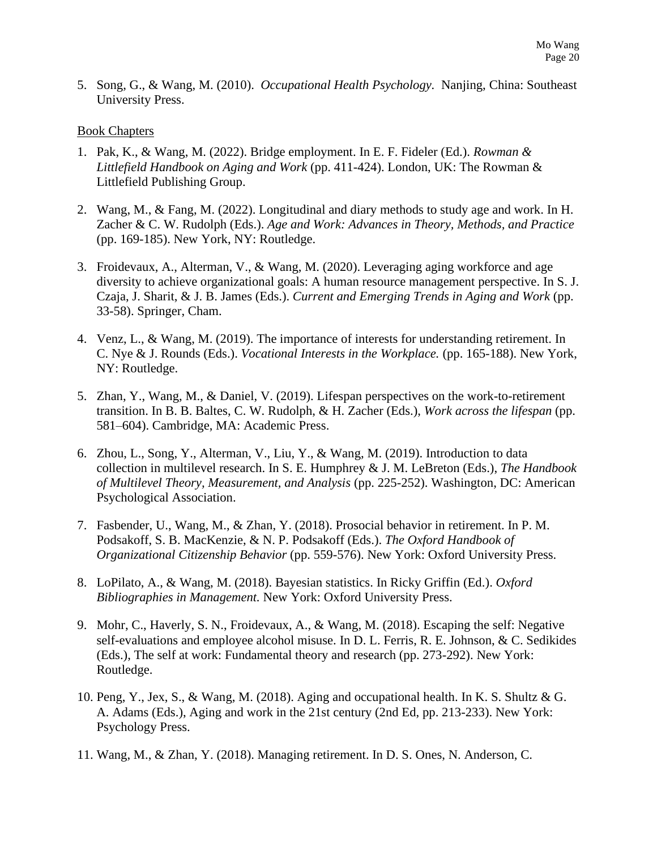5. Song, G., & Wang, M. (2010). *Occupational Health Psychology.* Nanjing, China: Southeast University Press.

### Book Chapters

- 1. Pak, K., & Wang, M. (2022). Bridge employment. In E. F. Fideler (Ed.). *Rowman & Littlefield Handbook on Aging and Work* (pp. 411-424). London, UK: The Rowman & Littlefield Publishing Group.
- 2. Wang, M., & Fang, M. (2022). Longitudinal and diary methods to study age and work. In H. Zacher & C. W. Rudolph (Eds.). *Age and Work: Advances in Theory, Methods, and Practice* (pp. 169-185). New York, NY: Routledge.
- 3. Froidevaux, A., Alterman, V., & Wang, M. (2020). Leveraging aging workforce and age diversity to achieve organizational goals: A human resource management perspective. In S. J. Czaja, J. Sharit, & J. B. James (Eds.). *Current and Emerging Trends in Aging and Work* (pp. 33-58). Springer, Cham.
- 4. Venz, L., & Wang, M. (2019). The importance of interests for understanding retirement. In C. Nye & J. Rounds (Eds.). *Vocational Interests in the Workplace.* (pp. 165-188). New York, NY: Routledge.
- 5. Zhan, Y., Wang, M., & Daniel, V. (2019). Lifespan perspectives on the work-to-retirement transition. In B. B. Baltes, C. W. Rudolph, & H. Zacher (Eds.), *Work across the lifespan* (pp. 581–604). Cambridge, MA: Academic Press.
- 6. Zhou, L., Song, Y., Alterman, V., Liu, Y., & Wang, M. (2019). Introduction to data collection in multilevel research. In S. E. Humphrey & J. M. LeBreton (Eds.), *The Handbook of Multilevel Theory, Measurement, and Analysis* (pp. 225-252). Washington, DC: American Psychological Association.
- 7. Fasbender, U., Wang, M., & Zhan, Y. (2018). Prosocial behavior in retirement. In P. M. Podsakoff, S. B. MacKenzie, & N. P. Podsakoff (Eds.). *The Oxford Handbook of Organizational Citizenship Behavior* (pp. 559-576). New York: Oxford University Press.
- 8. LoPilato, A., & Wang, M. (2018). Bayesian statistics. In Ricky Griffin (Ed.). *Oxford Bibliographies in Management.* New York: Oxford University Press.
- 9. Mohr, C., Haverly, S. N., Froidevaux, A., & Wang, M. (2018). Escaping the self: Negative self-evaluations and employee alcohol misuse. In D. L. Ferris, R. E. Johnson, & C. Sedikides (Eds.), The self at work: Fundamental theory and research (pp. 273-292). New York: Routledge.
- 10. Peng, Y., Jex, S., & Wang, M. (2018). Aging and occupational health. In K. S. Shultz & G. A. Adams (Eds.), Aging and work in the 21st century (2nd Ed, pp. 213-233). New York: Psychology Press.
- 11. Wang, M., & Zhan, Y. (2018). Managing retirement. In D. S. Ones, N. Anderson, C.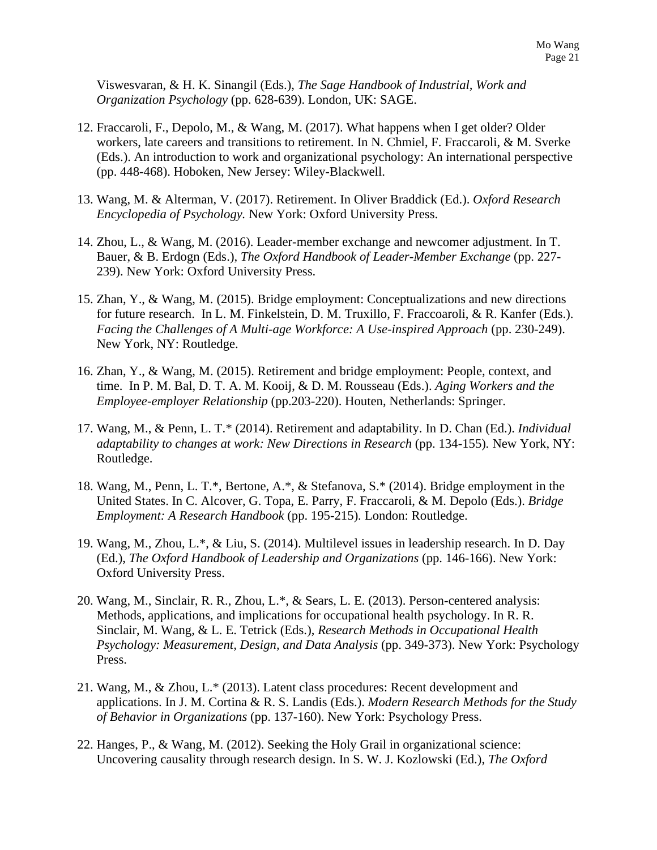Viswesvaran, & H. K. Sinangil (Eds.), *The Sage Handbook of Industrial, Work and Organization Psychology* (pp. 628-639). London, UK: SAGE.

- 12. Fraccaroli, F., Depolo, M., & Wang, M. (2017). What happens when I get older? Older workers, late careers and transitions to retirement. In N. Chmiel, F. Fraccaroli, & M. Sverke (Eds.). An introduction to work and organizational psychology: An international perspective (pp. 448-468). Hoboken, New Jersey: Wiley-Blackwell.
- 13. Wang, M. & Alterman, V. (2017). Retirement. In Oliver Braddick (Ed.). *Oxford Research Encyclopedia of Psychology.* New York: Oxford University Press.
- 14. Zhou, L., & Wang, M. (2016). Leader-member exchange and newcomer adjustment. In T. Bauer, & B. Erdogn (Eds.), *The Oxford Handbook of Leader-Member Exchange* (pp. 227- 239). New York: Oxford University Press.
- 15. Zhan, Y., & Wang, M. (2015). Bridge employment: Conceptualizations and new directions for future research. In L. M. Finkelstein, D. M. Truxillo, F. Fraccoaroli, & R. Kanfer (Eds.). *Facing the Challenges of A Multi-age Workforce: A Use-inspired Approach* (pp. 230-249). New York, NY: Routledge.
- 16. Zhan, Y., & Wang, M. (2015). Retirement and bridge employment: People, context, and time. In P. M. Bal, D. T. A. M. Kooij, & D. M. Rousseau (Eds.). *Aging Workers and the Employee-employer Relationship* (pp.203-220). Houten, Netherlands: Springer.
- 17. Wang, M., & Penn, L. T.\* (2014). Retirement and adaptability. In D. Chan (Ed.). *Individual adaptability to changes at work: New Directions in Research* (pp. 134-155)*.* New York, NY: Routledge.
- 18. Wang, M., Penn, L. T.\*, Bertone, A.\*, & Stefanova, S.\* (2014). Bridge employment in the United States. In C. Alcover, G. Topa, E. Parry, F. Fraccaroli, & M. Depolo (Eds.). *Bridge Employment: A Research Handbook* (pp. 195-215)*.* London: Routledge.
- 19. Wang, M., Zhou, L.\*, & Liu, S. (2014). Multilevel issues in leadership research. In D. Day (Ed.), *The Oxford Handbook of Leadership and Organizations* (pp. 146-166). New York: Oxford University Press.
- 20. Wang, M., Sinclair, R. R., Zhou, L.\*, & Sears, L. E. (2013). Person-centered analysis: Methods, applications, and implications for occupational health psychology. In R. R. Sinclair, M. Wang, & L. E. Tetrick (Eds.), *Research Methods in Occupational Health Psychology: Measurement, Design, and Data Analysis* (pp. 349-373). New York: Psychology Press.
- 21. Wang, M., & Zhou, L.\* (2013). Latent class procedures: Recent development and applications. In J. M. Cortina & R. S. Landis (Eds.). *Modern Research Methods for the Study of Behavior in Organizations* (pp. 137-160). New York: Psychology Press.
- 22. Hanges, P., & Wang, M. (2012). Seeking the Holy Grail in organizational science: Uncovering causality through research design. In S. W. J. Kozlowski (Ed.), *The Oxford*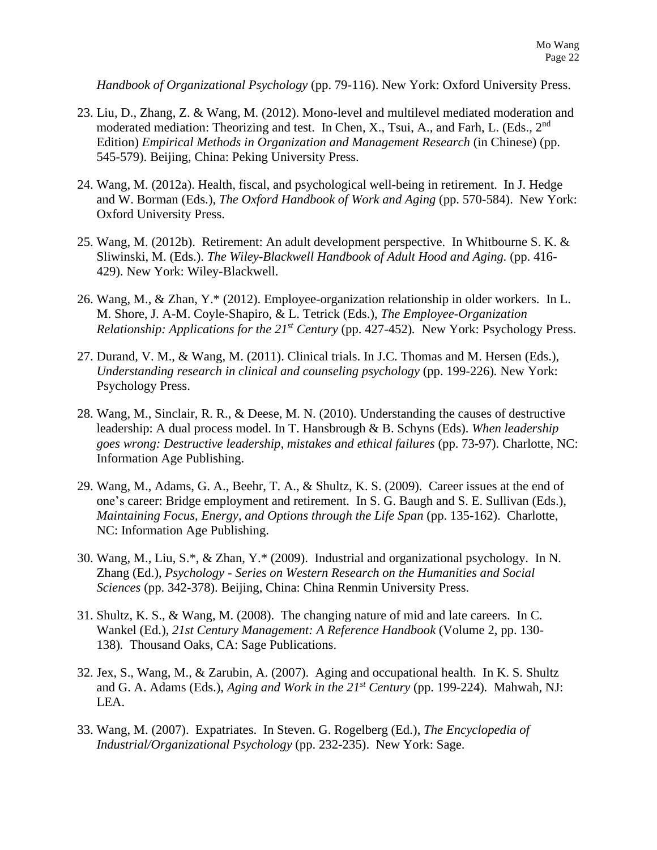*Handbook of Organizational Psychology* (pp. 79-116). New York: Oxford University Press.

- 23. Liu, D., Zhang, Z. & Wang, M. (2012). Mono-level and multilevel mediated moderation and moderated mediation: Theorizing and test. In Chen, X., Tsui, A., and Farh, L. (Eds., 2<sup>nd</sup>) Edition) *Empirical Methods in Organization and Management Research* (in Chinese) (pp. 545-579). Beijing, China: Peking University Press.
- 24. Wang, M. (2012a). Health, fiscal, and psychological well-being in retirement. In J. Hedge and W. Borman (Eds.), *The Oxford Handbook of Work and Aging* (pp. 570-584). New York: Oxford University Press.
- 25. Wang, M. (2012b). Retirement: An adult development perspective. In Whitbourne S. K. & Sliwinski, M. (Eds.). *The Wiley-Blackwell Handbook of Adult Hood and Aging.* (pp. 416- 429). New York: Wiley-Blackwell.
- 26. Wang, M., & Zhan, Y.\* (2012). Employee-organization relationship in older workers. In L. M. Shore, J. A-M. Coyle-Shapiro, & L. Tetrick (Eds.), *The Employee-Organization Relationship: Applications for the 21st Century* (pp. 427-452)*.* New York: Psychology Press.
- 27. Durand, V. M., & Wang, M. (2011). Clinical trials. In J.C. Thomas and M. Hersen (Eds.), *Understanding research in clinical and counseling psychology* (pp. 199-226)*.* New York: Psychology Press.
- 28. Wang, M., Sinclair, R. R., & Deese, M. N. (2010). Understanding the causes of destructive leadership: A dual process model. In T. Hansbrough & B. Schyns (Eds). *When leadership goes wrong: Destructive leadership, mistakes and ethical failures* (pp. 73-97). Charlotte, NC: Information Age Publishing.
- 29. Wang, M., Adams, G. A., Beehr, T. A., & Shultz, K. S. (2009). Career issues at the end of one's career: Bridge employment and retirement. In S. G. Baugh and S. E. Sullivan (Eds.), *Maintaining Focus, Energy, and Options through the Life Span* (pp. 135-162). Charlotte, NC: Information Age Publishing.
- 30. Wang, M., Liu, S.\*, & Zhan, Y.\* (2009). Industrial and organizational psychology. In N. Zhang (Ed.), *Psychology* - *Series on Western Research on the Humanities and Social Sciences* (pp. 342-378). Beijing, China: China Renmin University Press.
- 31. Shultz, K. S., & Wang, M. (2008). The changing nature of mid and late careers. In C. Wankel (Ed.), *21st Century Management: A Reference Handbook* (Volume 2, pp. 130- 138)*.* Thousand Oaks, CA: Sage Publications.
- 32. Jex, S., Wang, M., & Zarubin, A. (2007). Aging and occupational health. In K. S. Shultz and G. A. Adams (Eds.), *Aging and Work in the 21st Century* (pp. 199-224)*.* Mahwah, NJ: LEA.
- 33. Wang, M. (2007). Expatriates. In Steven. G. Rogelberg (Ed.), *The Encyclopedia of Industrial/Organizational Psychology* (pp. 232-235). New York: Sage.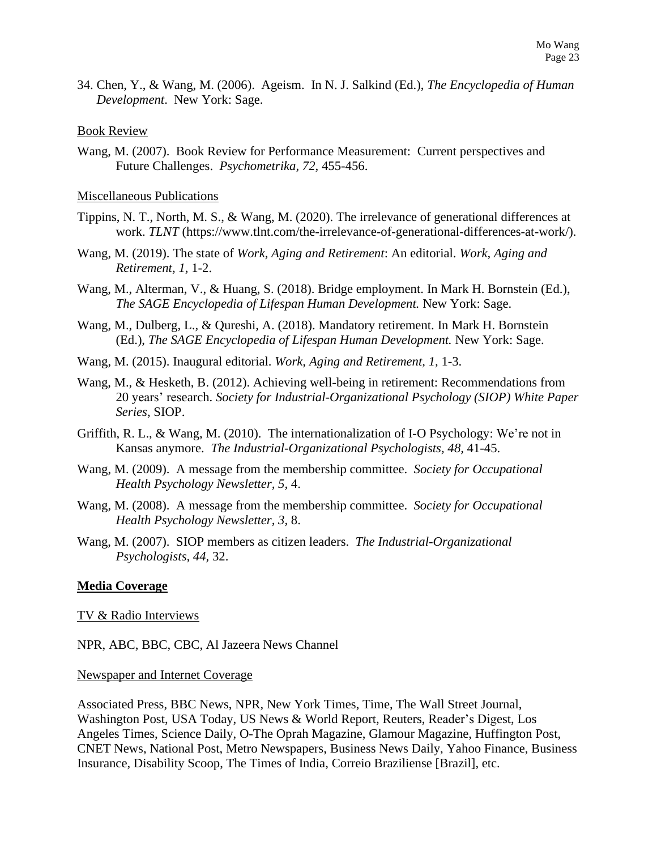34. Chen, Y., & Wang, M. (2006). Ageism. In N. J. Salkind (Ed.), *The Encyclopedia of Human Development*. New York: Sage.

#### Book Review

Wang, M. (2007). Book Review for Performance Measurement: Current perspectives and Future Challenges. *Psychometrika, 72,* 455-456.

#### Miscellaneous Publications

- Tippins, N. T., North, M. S., & Wang, M. (2020). The irrelevance of generational differences at work. *TLNT* (https://www.tlnt.com/the-irrelevance-of-generational-differences-at-work/).
- Wang, M. (2019). The state of *Work, Aging and Retirement*: An editorial. *Work, Aging and Retirement, 1,* 1-2.
- Wang, M., Alterman, V., & Huang, S. (2018). Bridge employment. In Mark H. Bornstein (Ed.), *The SAGE Encyclopedia of Lifespan Human Development.* New York: Sage.
- Wang, M., Dulberg, L., & Qureshi, A. (2018). Mandatory retirement. In Mark H. Bornstein (Ed.), *The SAGE Encyclopedia of Lifespan Human Development.* New York: Sage.
- Wang, M. (2015). Inaugural editorial. *Work, Aging and Retirement, 1,* 1-3.
- Wang, M., & Hesketh, B. (2012). Achieving well-being in retirement: Recommendations from 20 years' research. *Society for Industrial-Organizational Psychology (SIOP) White Paper Series*, SIOP.
- Griffith, R. L., & Wang, M. (2010). The internationalization of I-O Psychology: We're not in Kansas anymore. *The Industrial-Organizational Psychologists, 48,* 41-45.
- Wang, M. (2009). A message from the membership committee. *Society for Occupational Health Psychology Newsletter, 5,* 4.
- Wang, M. (2008). A message from the membership committee. *Society for Occupational Health Psychology Newsletter, 3,* 8.
- Wang, M. (2007). SIOP members as citizen leaders. *The Industrial-Organizational Psychologists, 44,* 32.

### **Media Coverage**

#### TV & Radio Interviews

NPR, ABC, BBC, CBC, Al Jazeera News Channel

#### Newspaper and Internet Coverage

Associated Press, BBC News, NPR, New York Times, Time, The Wall Street Journal, Washington Post, USA Today, US News & World Report, Reuters, Reader's Digest, Los Angeles Times, Science Daily, O-The Oprah Magazine, Glamour Magazine, Huffington Post, CNET News, National Post, Metro Newspapers, Business News Daily, Yahoo Finance, Business Insurance, Disability Scoop, The Times of India, Correio Braziliense [Brazil], etc.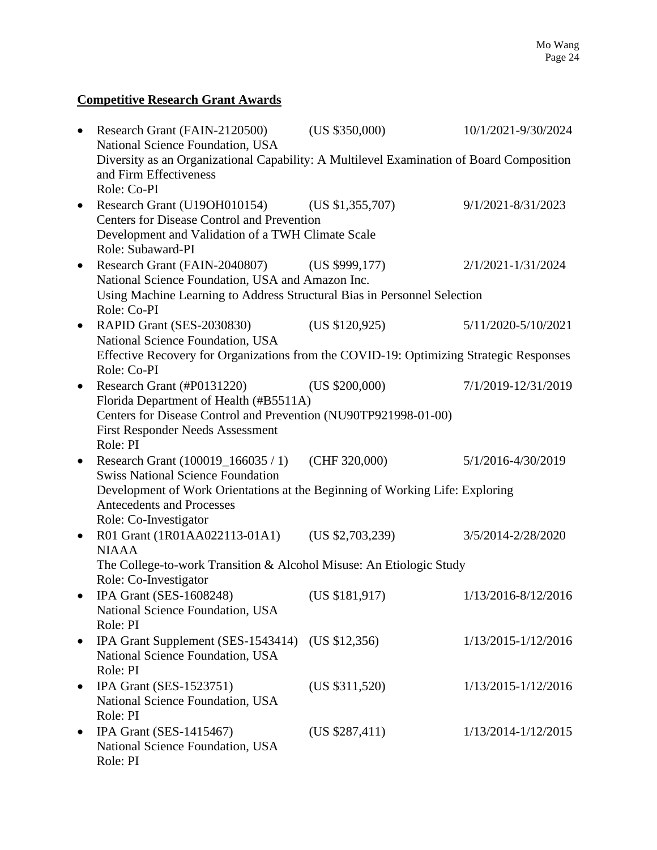## **Competitive Research Grant Awards**

| $\bullet$ | Research Grant (FAIN-2120500)<br>National Science Foundation, USA                                                                                                                                              | (US \$350,000)   | 10/1/2021-9/30/2024 |  |  |
|-----------|----------------------------------------------------------------------------------------------------------------------------------------------------------------------------------------------------------------|------------------|---------------------|--|--|
|           | Diversity as an Organizational Capability: A Multilevel Examination of Board Composition<br>and Firm Effectiveness<br>Role: Co-PI                                                                              |                  |                     |  |  |
|           | Research Grant (U19OH010154) (US \$1,355,707)<br>Centers for Disease Control and Prevention<br>Development and Validation of a TWH Climate Scale                                                               |                  | 9/1/2021-8/31/2023  |  |  |
| $\bullet$ | Role: Subaward-PI<br>Research Grant (FAIN-2040807) (US \$999,177)<br>National Science Foundation, USA and Amazon Inc.                                                                                          |                  | 2/1/2021-1/31/2024  |  |  |
|           | Using Machine Learning to Address Structural Bias in Personnel Selection<br>Role: Co-PI                                                                                                                        |                  |                     |  |  |
| $\bullet$ | RAPID Grant (SES-2030830)<br>National Science Foundation, USA                                                                                                                                                  | (US \$120,925)   | 5/11/2020-5/10/2021 |  |  |
|           | Effective Recovery for Organizations from the COVID-19: Optimizing Strategic Responses<br>Role: Co-PI                                                                                                          |                  |                     |  |  |
| $\bullet$ | Research Grant (#P0131220)<br>Florida Department of Health (#B5511A)<br>Centers for Disease Control and Prevention (NU90TP921998-01-00)<br><b>First Responder Needs Assessment</b>                             | (US \$200,000)   | 7/1/2019-12/31/2019 |  |  |
|           | Role: PI<br>Research Grant (100019_166035 / 1)<br><b>Swiss National Science Foundation</b><br>Development of Work Orientations at the Beginning of Working Life: Exploring<br><b>Antecedents and Processes</b> | (CHF 320,000)    | 5/1/2016-4/30/2019  |  |  |
| $\bullet$ | Role: Co-Investigator<br>R01 Grant (1R01AA022113-01A1)<br><b>NIAAA</b>                                                                                                                                         | (US \$2,703,239) | 3/5/2014-2/28/2020  |  |  |
|           | The College-to-work Transition & Alcohol Misuse: An Etiologic Study<br>Role: Co-Investigator                                                                                                                   |                  |                     |  |  |
|           | IPA Grant (SES-1608248)<br>National Science Foundation, USA<br>Role: PI                                                                                                                                        | (US \$181, 917)  | 1/13/2016-8/12/2016 |  |  |
| $\bullet$ | IPA Grant Supplement (SES-1543414)<br>National Science Foundation, USA<br>Role: PI                                                                                                                             | (US \$12,356)    | 1/13/2015-1/12/2016 |  |  |
| $\bullet$ | IPA Grant (SES-1523751)<br>National Science Foundation, USA<br>Role: PI                                                                                                                                        | (US \$311,520)   | 1/13/2015-1/12/2016 |  |  |
| ٠         | IPA Grant (SES-1415467)<br>National Science Foundation, USA<br>Role: PI                                                                                                                                        | (US \$287,411)   | 1/13/2014-1/12/2015 |  |  |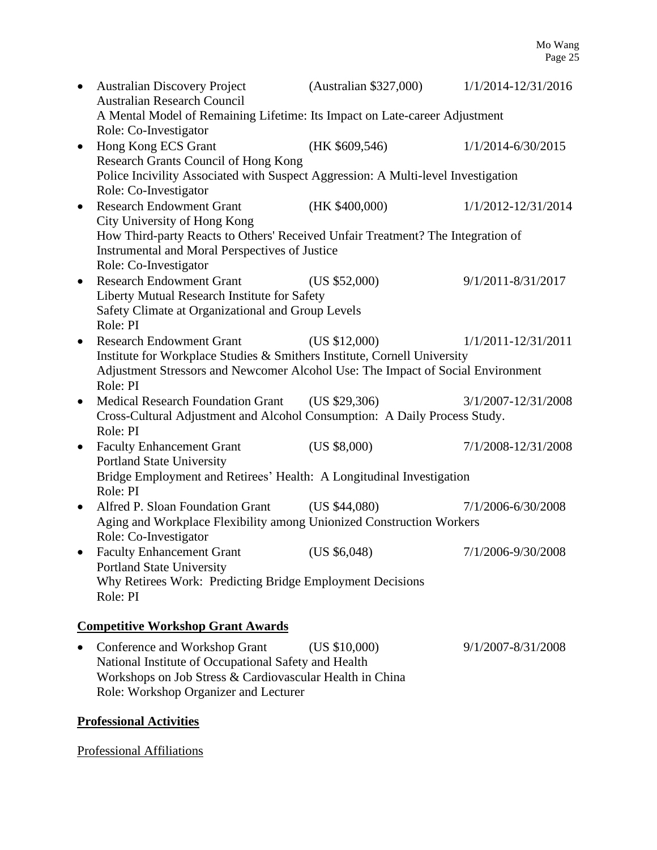| $\bullet$                                         | <b>Australian Discovery Project</b>                                                                 | (Australian \$327,000) | 1/1/2014-12/31/2016 |  |  |  |
|---------------------------------------------------|-----------------------------------------------------------------------------------------------------|------------------------|---------------------|--|--|--|
|                                                   | <b>Australian Research Council</b>                                                                  |                        |                     |  |  |  |
|                                                   | A Mental Model of Remaining Lifetime: Its Impact on Late-career Adjustment<br>Role: Co-Investigator |                        |                     |  |  |  |
| $\bullet$                                         | Hong Kong ECS Grant                                                                                 | (HK \$609, 546)        | 1/1/2014-6/30/2015  |  |  |  |
|                                                   | Research Grants Council of Hong Kong                                                                |                        |                     |  |  |  |
|                                                   | Police Incivility Associated with Suspect Aggression: A Multi-level Investigation                   |                        |                     |  |  |  |
|                                                   | Role: Co-Investigator                                                                               |                        |                     |  |  |  |
| $\bullet$                                         | <b>Research Endowment Grant</b>                                                                     | (HK \$400,000)         | 1/1/2012-12/31/2014 |  |  |  |
|                                                   | City University of Hong Kong                                                                        |                        |                     |  |  |  |
|                                                   | How Third-party Reacts to Others' Received Unfair Treatment? The Integration of                     |                        |                     |  |  |  |
|                                                   | Instrumental and Moral Perspectives of Justice                                                      |                        |                     |  |  |  |
|                                                   | Role: Co-Investigator                                                                               |                        |                     |  |  |  |
| $\bullet$                                         | <b>Research Endowment Grant</b>                                                                     | (US \$52,000)          | 9/1/2011-8/31/2017  |  |  |  |
|                                                   | Liberty Mutual Research Institute for Safety                                                        |                        |                     |  |  |  |
| Safety Climate at Organizational and Group Levels |                                                                                                     |                        |                     |  |  |  |
|                                                   | Role: PI                                                                                            |                        |                     |  |  |  |
|                                                   | <b>Research Endowment Grant</b>                                                                     | (US \$12,000)          | 1/1/2011-12/31/2011 |  |  |  |
|                                                   | Institute for Workplace Studies & Smithers Institute, Cornell University                            |                        |                     |  |  |  |
|                                                   | Adjustment Stressors and Newcomer Alcohol Use: The Impact of Social Environment                     |                        |                     |  |  |  |
|                                                   | Role: PI                                                                                            |                        |                     |  |  |  |
| $\bullet$                                         | Medical Research Foundation Grant (US \$29,306)                                                     |                        | 3/1/2007-12/31/2008 |  |  |  |
|                                                   | Cross-Cultural Adjustment and Alcohol Consumption: A Daily Process Study.                           |                        |                     |  |  |  |
|                                                   | Role: PI                                                                                            |                        |                     |  |  |  |
| $\bullet$                                         | <b>Faculty Enhancement Grant</b>                                                                    | (US \$8,000)           | 7/1/2008-12/31/2008 |  |  |  |
|                                                   | <b>Portland State University</b>                                                                    |                        |                     |  |  |  |
|                                                   | Bridge Employment and Retirees' Health: A Longitudinal Investigation<br>Role: PI                    |                        |                     |  |  |  |
|                                                   | Alfred P. Sloan Foundation Grant                                                                    | (US \$44,080)          | 7/1/2006-6/30/2008  |  |  |  |
|                                                   |                                                                                                     |                        |                     |  |  |  |
|                                                   | Aging and Workplace Flexibility among Unionized Construction Workers<br>Role: Co-Investigator       |                        |                     |  |  |  |
|                                                   | <b>Faculty Enhancement Grant</b>                                                                    | (US \$6,048)           | 7/1/2006-9/30/2008  |  |  |  |
|                                                   | <b>Portland State University</b>                                                                    |                        |                     |  |  |  |
|                                                   | Why Retirees Work: Predicting Bridge Employment Decisions                                           |                        |                     |  |  |  |
|                                                   | Role: PI                                                                                            |                        |                     |  |  |  |
|                                                   |                                                                                                     |                        |                     |  |  |  |
|                                                   | <b>Competitive Workshop Grant Awards</b>                                                            |                        |                     |  |  |  |
|                                                   |                                                                                                     |                        |                     |  |  |  |

• Conference and Workshop Grant (US \$10,000) 9/1/2007-8/31/2008 National Institute of Occupational Safety and Health Workshops on Job Stress & Cardiovascular Health in China Role: Workshop Organizer and Lecturer

## **Professional Activities**

## Professional Affiliations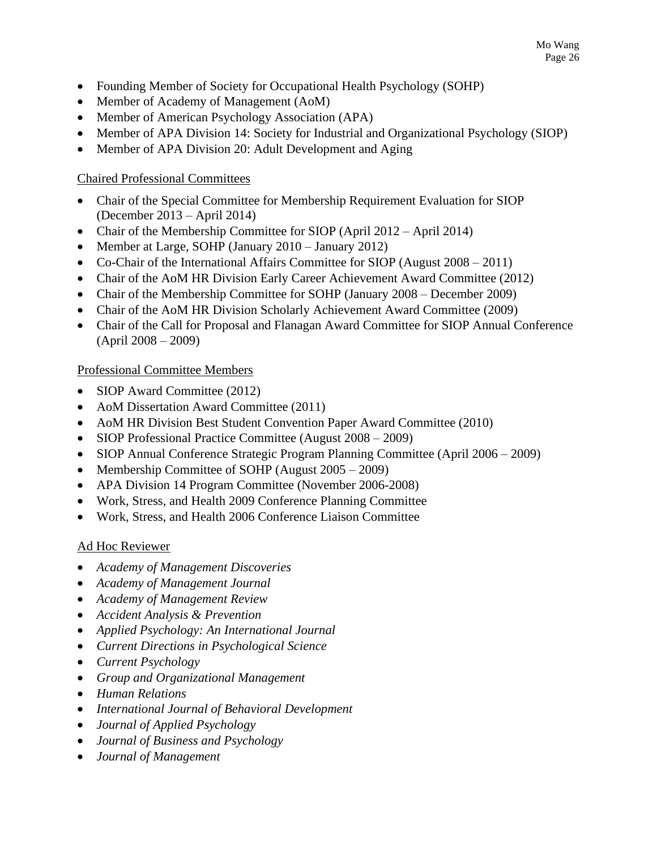- Founding Member of Society for Occupational Health Psychology (SOHP)
- Member of Academy of Management (AoM)
- Member of American Psychology Association (APA)
- Member of APA Division 14: Society for Industrial and Organizational Psychology (SIOP)
- Member of APA Division 20: Adult Development and Aging

## Chaired Professional Committees

- Chair of the Special Committee for Membership Requirement Evaluation for SIOP (December 2013 – April 2014)
- Chair of the Membership Committee for SIOP (April 2012 April 2014)
- Member at Large, SOHP (January 2010 January 2012)
- Co-Chair of the International Affairs Committee for SIOP (August 2008 2011)
- Chair of the AoM HR Division Early Career Achievement Award Committee (2012)
- Chair of the Membership Committee for SOHP (January 2008 December 2009)
- Chair of the AoM HR Division Scholarly Achievement Award Committee (2009)
- Chair of the Call for Proposal and Flanagan Award Committee for SIOP Annual Conference (April 2008 – 2009)

## Professional Committee Members

- SIOP Award Committee (2012)
- AoM Dissertation Award Committee (2011)
- AoM HR Division Best Student Convention Paper Award Committee (2010)
- SIOP Professional Practice Committee (August 2008 2009)
- SIOP Annual Conference Strategic Program Planning Committee (April 2006 2009)
- Membership Committee of SOHP (August 2005 2009)
- APA Division 14 Program Committee (November 2006-2008)
- Work, Stress, and Health 2009 Conference Planning Committee
- Work, Stress, and Health 2006 Conference Liaison Committee

## Ad Hoc Reviewer

- *Academy of Management Discoveries*
- *Academy of Management Journal*
- *Academy of Management Review*
- *Accident Analysis & Prevention*
- *Applied Psychology: An International Journal*
- *Current Directions in Psychological Science*
- *Current Psychology*
- *Group and Organizational Management*
- *Human Relations*
- *International Journal of Behavioral Development*
- *Journal of Applied Psychology*
- *Journal of Business and Psychology*
- *Journal of Management*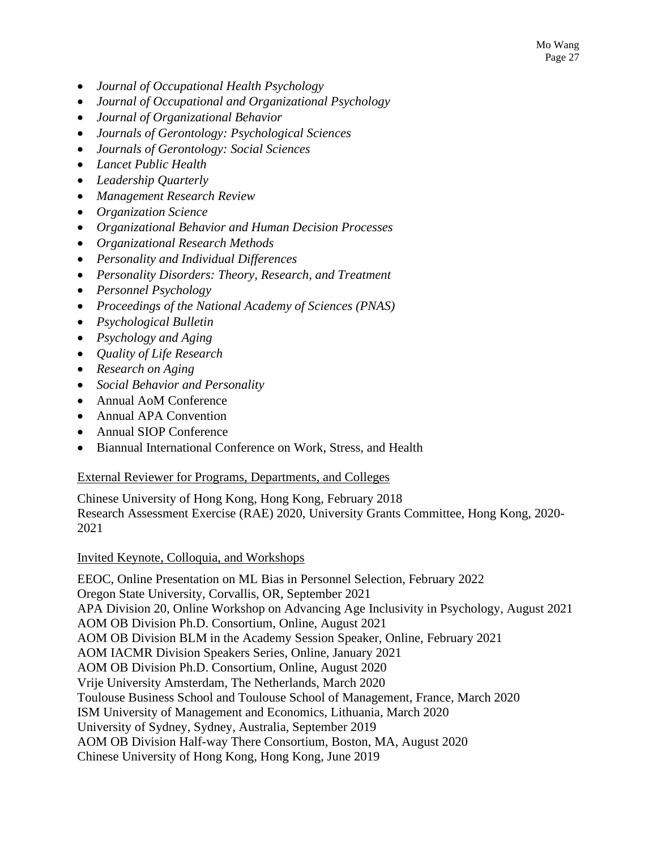- *Journal of Occupational Health Psychology*
- *Journal of Occupational and Organizational Psychology*
- *Journal of Organizational Behavior*
- *Journals of Gerontology: Psychological Sciences*
- *Journals of Gerontology: Social Sciences*
- *Lancet Public Health*
- *Leadership Quarterly*
- *Management Research Review*
- *Organization Science*
- *Organizational Behavior and Human Decision Processes*
- *Organizational Research Methods*
- *Personality and Individual Differences*
- *Personality Disorders: Theory, Research, and Treatment*
- *Personnel Psychology*
- *Proceedings of the National Academy of Sciences (PNAS)*
- *Psychological Bulletin*
- *Psychology and Aging*
- *Quality of Life Research*
- *Research on Aging*
- *Social Behavior and Personality*
- Annual AoM Conference
- Annual APA Convention
- Annual SIOP Conference
- Biannual International Conference on Work, Stress, and Health

### External Reviewer for Programs, Departments, and Colleges

Chinese University of Hong Kong, Hong Kong, February 2018 Research Assessment Exercise (RAE) 2020, University Grants Committee, Hong Kong, 2020- 2021

### Invited Keynote, Colloquia, and Workshops

EEOC, Online Presentation on ML Bias in Personnel Selection, February 2022 Oregon State University, Corvallis, OR, September 2021 APA Division 20, Online Workshop on Advancing Age Inclusivity in Psychology, August 2021 AOM OB Division Ph.D. Consortium, Online, August 2021 AOM OB Division BLM in the Academy Session Speaker, Online, February 2021 AOM IACMR Division Speakers Series, Online, January 2021 AOM OB Division Ph.D. Consortium, Online, August 2020 Vrije University Amsterdam, The Netherlands, March 2020 Toulouse Business School and Toulouse School of Management, France, March 2020 ISM University of Management and Economics, Lithuania, March 2020 University of Sydney, Sydney, Australia, September 2019 AOM OB Division Half-way There Consortium, Boston, MA, August 2020 Chinese University of Hong Kong, Hong Kong, June 2019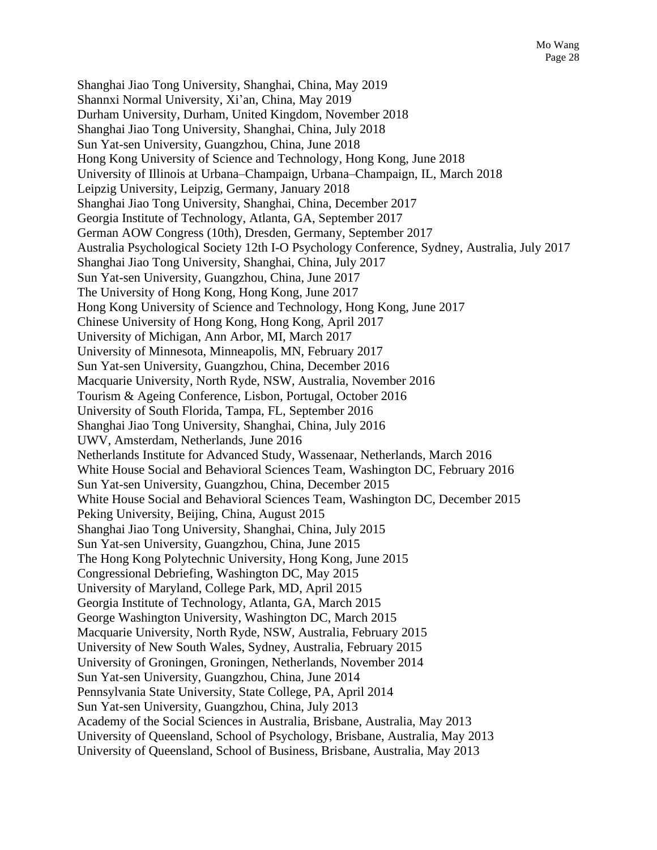Shanghai Jiao Tong University, Shanghai, China, May 2019 Shannxi Normal University, Xi'an, China, May 2019 Durham University, Durham, United Kingdom, November 2018 Shanghai Jiao Tong University, Shanghai, China, July 2018 Sun Yat-sen University, Guangzhou, China, June 2018 Hong Kong University of Science and Technology, Hong Kong, June 2018 University of Illinois at Urbana–Champaign, Urbana–Champaign, IL, March 2018 Leipzig University, Leipzig, Germany, January 2018 Shanghai Jiao Tong University, Shanghai, China, December 2017 Georgia Institute of Technology, Atlanta, GA, September 2017 German AOW Congress (10th), Dresden, Germany, September 2017 Australia Psychological Society 12th I-O Psychology Conference, Sydney, Australia, July 2017 Shanghai Jiao Tong University, Shanghai, China, July 2017 Sun Yat-sen University, Guangzhou, China, June 2017 The University of Hong Kong, Hong Kong, June 2017 Hong Kong University of Science and Technology, Hong Kong, June 2017 Chinese University of Hong Kong, Hong Kong, April 2017 University of Michigan, Ann Arbor, MI, March 2017 University of Minnesota, Minneapolis, MN, February 2017 Sun Yat-sen University, Guangzhou, China, December 2016 Macquarie University, North Ryde, NSW, Australia, November 2016 Tourism & Ageing Conference, Lisbon, Portugal, October 2016 University of South Florida, Tampa, FL, September 2016 Shanghai Jiao Tong University, Shanghai, China, July 2016 UWV, Amsterdam, Netherlands, June 2016 Netherlands Institute for Advanced Study, Wassenaar, Netherlands, March 2016 White House Social and Behavioral Sciences Team, Washington DC, February 2016 Sun Yat-sen University, Guangzhou, China, December 2015 White House Social and Behavioral Sciences Team, Washington DC, December 2015 Peking University, Beijing, China, August 2015 Shanghai Jiao Tong University, Shanghai, China, July 2015 Sun Yat-sen University, Guangzhou, China, June 2015 The Hong Kong Polytechnic University, Hong Kong, June 2015 Congressional Debriefing, Washington DC, May 2015 University of Maryland, College Park, MD, April 2015 Georgia Institute of Technology, Atlanta, GA, March 2015 George Washington University, Washington DC, March 2015 Macquarie University, North Ryde, NSW, Australia, February 2015 University of New South Wales, Sydney, Australia, February 2015 University of Groningen, Groningen, Netherlands, November 2014 Sun Yat-sen University, Guangzhou, China, June 2014 Pennsylvania State University, State College, PA, April 2014 Sun Yat-sen University, Guangzhou, China, July 2013 Academy of the Social Sciences in Australia, Brisbane, Australia, May 2013 University of Queensland, School of Psychology, Brisbane, Australia, May 2013 University of Queensland, School of Business, Brisbane, Australia, May 2013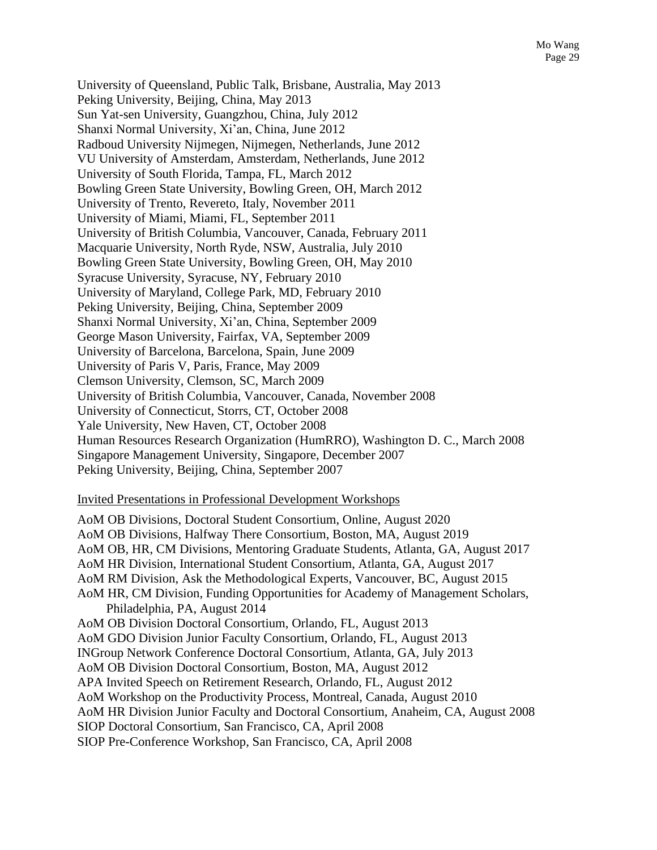University of Queensland, Public Talk, Brisbane, Australia, May 2013 Peking University, Beijing, China, May 2013 Sun Yat-sen University, Guangzhou, China, July 2012 Shanxi Normal University, Xi'an, China, June 2012 Radboud University Nijmegen, Nijmegen, Netherlands, June 2012 VU University of Amsterdam, Amsterdam, Netherlands, June 2012 University of South Florida, Tampa, FL, March 2012 Bowling Green State University, Bowling Green, OH, March 2012 University of Trento, Revereto, Italy, November 2011 University of Miami, Miami, FL, September 2011 University of British Columbia, Vancouver, Canada, February 2011 Macquarie University, North Ryde, NSW, Australia, July 2010 Bowling Green State University, Bowling Green, OH, May 2010 Syracuse University, Syracuse, NY, February 2010 University of Maryland, College Park, MD, February 2010 Peking University, Beijing, China, September 2009 Shanxi Normal University, Xi'an, China, September 2009 George Mason University, Fairfax, VA, September 2009 University of Barcelona, Barcelona, Spain, June 2009 University of Paris V, Paris, France, May 2009 Clemson University, Clemson, SC, March 2009 University of British Columbia, Vancouver, Canada, November 2008 University of Connecticut, Storrs, CT, October 2008 Yale University, New Haven, CT, October 2008 Human Resources Research Organization (HumRRO), Washington D. C., March 2008 Singapore Management University, Singapore, December 2007 Peking University, Beijing, China, September 2007

#### Invited Presentations in Professional Development Workshops

AoM OB Divisions, Doctoral Student Consortium, Online, August 2020 AoM OB Divisions, Halfway There Consortium, Boston, MA, August 2019 AoM OB, HR, CM Divisions, Mentoring Graduate Students, Atlanta, GA, August 2017 AoM HR Division, International Student Consortium, Atlanta, GA, August 2017 AoM RM Division, Ask the Methodological Experts, Vancouver, BC, August 2015 AoM HR, CM Division, Funding Opportunities for Academy of Management Scholars, Philadelphia, PA, August 2014 AoM OB Division Doctoral Consortium, Orlando, FL, August 2013 AoM GDO Division Junior Faculty Consortium, Orlando, FL, August 2013 INGroup Network Conference Doctoral Consortium, Atlanta, GA, July 2013 AoM OB Division Doctoral Consortium, Boston, MA, August 2012 APA Invited Speech on Retirement Research, Orlando, FL, August 2012 AoM Workshop on the Productivity Process, Montreal, Canada, August 2010 AoM HR Division Junior Faculty and Doctoral Consortium, Anaheim, CA, August 2008 SIOP Doctoral Consortium, San Francisco, CA, April 2008 SIOP Pre-Conference Workshop, San Francisco, CA, April 2008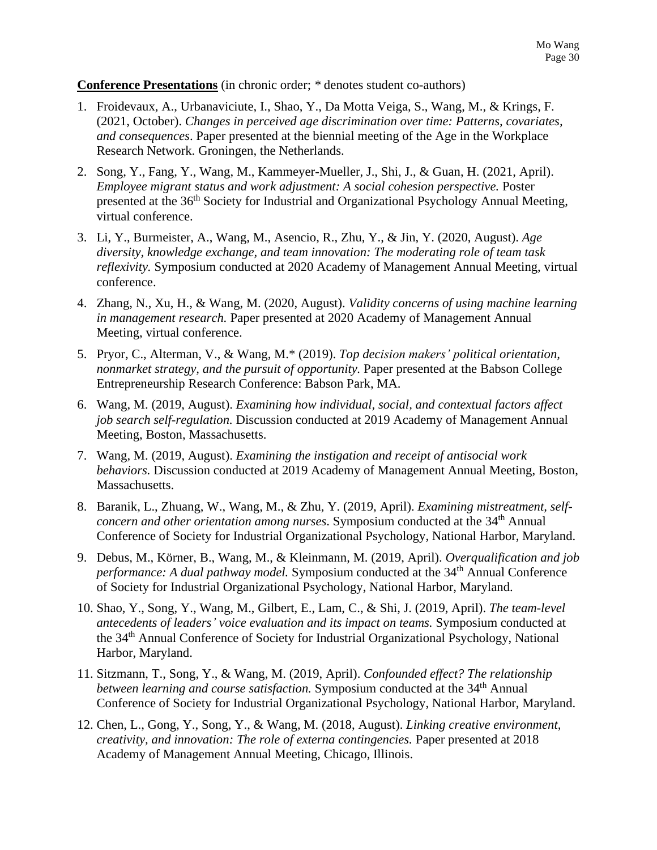#### **Conference Presentations** (in chronic order; *\** denotes student co-authors)

- 1. Froidevaux, A., Urbanaviciute, I., Shao, Y., Da Motta Veiga, S., Wang, M., & Krings, F. (2021, October). *Changes in perceived age discrimination over time: Patterns, covariates, and consequences*. Paper presented at the biennial meeting of the Age in the Workplace Research Network. Groningen, the Netherlands.
- 2. Song, Y., Fang, Y., Wang, M., Kammeyer-Mueller, J., Shi, J., & Guan, H. (2021, April). *Employee migrant status and work adjustment: A social cohesion perspective.* Poster presented at the 36<sup>th</sup> Society for Industrial and Organizational Psychology Annual Meeting, virtual conference.
- 3. Li, Y., Burmeister, A., Wang, M., Asencio, R., Zhu, Y., & Jin, Y. (2020, August). *Age diversity, knowledge exchange, and team innovation: The moderating role of team task reflexivity.* Symposium conducted at 2020 Academy of Management Annual Meeting, virtual conference.
- 4. Zhang, N., Xu, H., & Wang, M. (2020, August). *Validity concerns of using machine learning in management research.* Paper presented at 2020 Academy of Management Annual Meeting, virtual conference.
- 5. Pryor, C., Alterman, V., & Wang, M.\* (2019). *Top decision makers' political orientation, nonmarket strategy, and the pursuit of opportunity.* Paper presented at the Babson College Entrepreneurship Research Conference: Babson Park, MA.
- 6. Wang, M. (2019, August). *Examining how individual, social, and contextual factors affect job search self-regulation.* Discussion conducted at 2019 Academy of Management Annual Meeting, Boston, Massachusetts.
- 7. Wang, M. (2019, August). *Examining the instigation and receipt of antisocial work behaviors.* Discussion conducted at 2019 Academy of Management Annual Meeting, Boston, Massachusetts.
- 8. Baranik, L., Zhuang, W., Wang, M., & Zhu, Y. (2019, April). *Examining mistreatment, selfconcern and other orientation among nurses*. Symposium conducted at the 34 th Annual Conference of Society for Industrial Organizational Psychology, National Harbor, Maryland.
- 9. Debus, M., Körner, B., Wang, M., & Kleinmann, M. (2019, April). *Overqualification and job*  performance: A dual pathway model. Symposium conducted at the 34<sup>th</sup> Annual Conference of Society for Industrial Organizational Psychology, National Harbor, Maryland.
- 10. Shao, Y., Song, Y., Wang, M., Gilbert, E., Lam, C., & Shi, J. (2019, April). *The team-level antecedents of leaders' voice evaluation and its impact on teams.* Symposium conducted at the 34<sup>th</sup> Annual Conference of Society for Industrial Organizational Psychology, National Harbor, Maryland.
- 11. Sitzmann, T., Song, Y., & Wang, M. (2019, April). *Confounded effect? The relationship between learning and course satisfaction.* Symposium conducted at the 34 th Annual Conference of Society for Industrial Organizational Psychology, National Harbor, Maryland.
- 12. Chen, L., Gong, Y., Song, Y., & Wang, M. (2018, August). *Linking creative environment, creativity, and innovation: The role of externa contingencies.* Paper presented at 2018 Academy of Management Annual Meeting, Chicago, Illinois.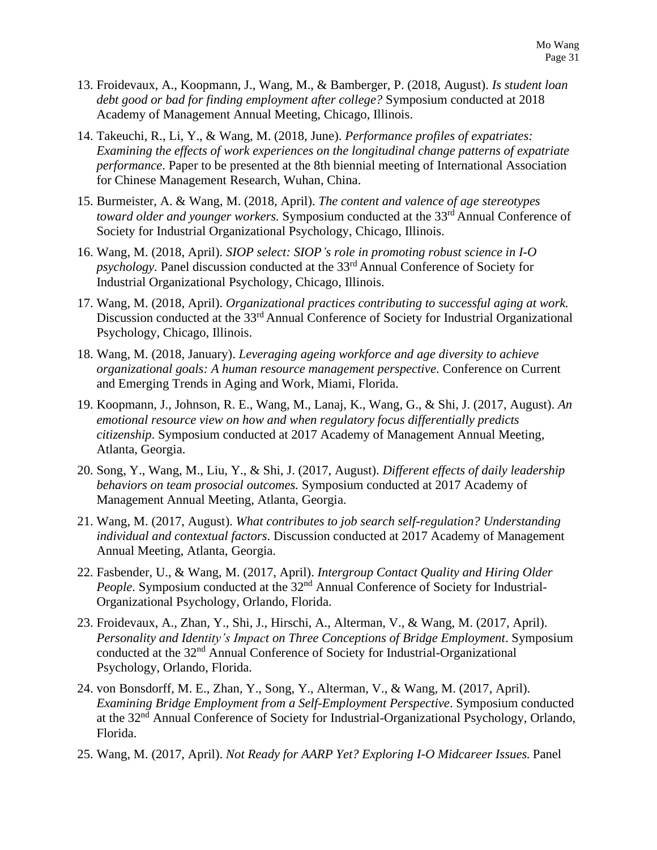- 13. Froidevaux, A., Koopmann, J., Wang, M., & Bamberger, P. (2018, August). *Is student loan debt good or bad for finding employment after college?* Symposium conducted at 2018 Academy of Management Annual Meeting, Chicago, Illinois.
- 14. Takeuchi, R., Li, Y., & Wang, M. (2018, June). *Performance profiles of expatriates: Examining the effects of work experiences on the longitudinal change patterns of expatriate performance*. Paper to be presented at the 8th biennial meeting of International Association for Chinese Management Research, Wuhan, China.
- 15. Burmeister, A. & Wang, M. (2018, April). *The content and valence of age stereotypes toward older and younger workers.* Symposium conducted at the 33rd Annual Conference of Society for Industrial Organizational Psychology, Chicago, Illinois.
- 16. Wang, M. (2018, April). *SIOP select: SIOP's role in promoting robust science in I-O psychology.* Panel discussion conducted at the 33rd Annual Conference of Society for Industrial Organizational Psychology, Chicago, Illinois.
- 17. Wang, M. (2018, April). *Organizational practices contributing to successful aging at work.* Discussion conducted at the 33<sup>rd</sup> Annual Conference of Society for Industrial Organizational Psychology, Chicago, Illinois.
- 18. Wang, M. (2018, January). *Leveraging ageing workforce and age diversity to achieve organizational goals: A human resource management perspective*. Conference on Current and Emerging Trends in Aging and Work, Miami, Florida.
- 19. Koopmann, J., Johnson, R. E., Wang, M., Lanaj, K., Wang, G., & Shi, J. (2017, August). *An emotional resource view on how and when regulatory focus differentially predicts citizenship*. Symposium conducted at 2017 Academy of Management Annual Meeting, Atlanta, Georgia.
- 20. Song, Y., Wang, M., Liu, Y., & Shi, J. (2017, August). *Different effects of daily leadership behaviors on team prosocial outcomes.* Symposium conducted at 2017 Academy of Management Annual Meeting, Atlanta, Georgia.
- 21. Wang, M. (2017, August). *What contributes to job search self-regulation? Understanding individual and contextual factors*. Discussion conducted at 2017 Academy of Management Annual Meeting, Atlanta, Georgia.
- 22. Fasbender, U., & Wang, M. (2017, April). *Intergroup Contact Quality and Hiring Older People*. Symposium conducted at the 32<sup>nd</sup> Annual Conference of Society for Industrial-Organizational Psychology, Orlando, Florida.
- 23. Froidevaux, A., Zhan, Y., Shi, J., Hirschi, A., Alterman, V., & Wang, M. (2017, April). *Personality and Identity's Impact on Three Conceptions of Bridge Employment*. Symposium conducted at the 32nd Annual Conference of Society for Industrial-Organizational Psychology, Orlando, Florida.
- 24. von Bonsdorff, M. E., Zhan, Y., Song, Y., Alterman, V., & Wang, M. (2017, April). *Examining Bridge Employment from a Self-Employment Perspective*. Symposium conducted at the 32nd Annual Conference of Society for Industrial-Organizational Psychology, Orlando, Florida.
- 25. Wang, M. (2017, April). *Not Ready for AARP Yet? Exploring I-O Midcareer Issues.* Panel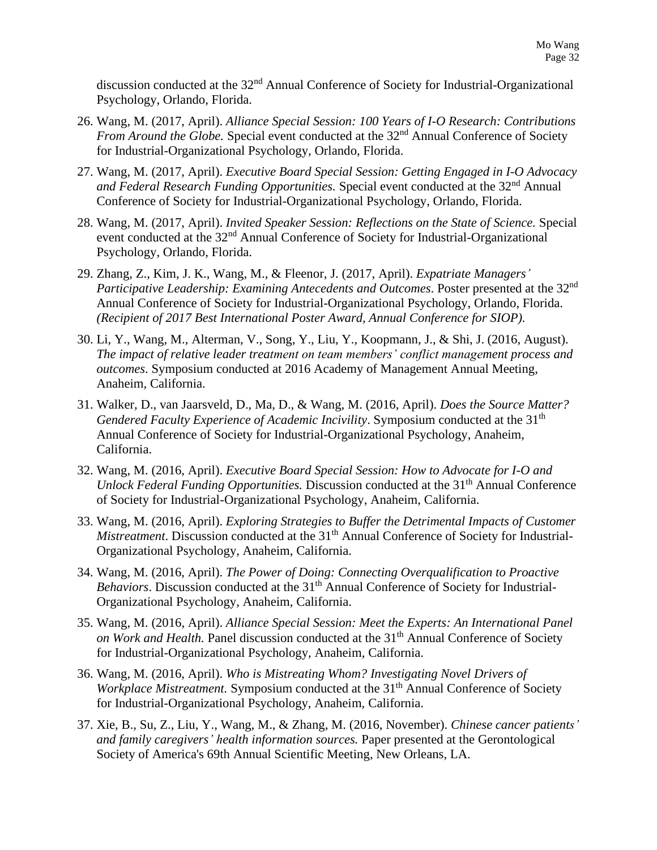discussion conducted at the 32<sup>nd</sup> Annual Conference of Society for Industrial-Organizational Psychology, Orlando, Florida.

- 26. Wang, M. (2017, April). *Alliance Special Session: 100 Years of I-O Research: Contributions From Around the Globe.* Special event conducted at the 32<sup>nd</sup> Annual Conference of Society for Industrial-Organizational Psychology, Orlando, Florida.
- 27. Wang, M. (2017, April). *Executive Board Special Session: Getting Engaged in I-O Advocacy and Federal Research Funding Opportunities.* Special event conducted at the 32nd Annual Conference of Society for Industrial-Organizational Psychology, Orlando, Florida.
- 28. Wang, M. (2017, April). *Invited Speaker Session: Reflections on the State of Science.* Special event conducted at the 32<sup>nd</sup> Annual Conference of Society for Industrial-Organizational Psychology, Orlando, Florida.
- 29. Zhang, Z., Kim, J. K., Wang, M., & Fleenor, J. (2017, April). *Expatriate Managers' Participative Leadership: Examining Antecedents and Outcomes*. Poster presented at the 32nd Annual Conference of Society for Industrial-Organizational Psychology, Orlando, Florida. *(Recipient of 2017 Best International Poster Award, Annual Conference for SIOP).*
- 30. Li, Y., Wang, M., Alterman, V., Song, Y., Liu, Y., Koopmann, J., & Shi, J. (2016, August). *The impact of relative leader treatment on team members' conflict management process and outcomes*. Symposium conducted at 2016 Academy of Management Annual Meeting, Anaheim, California.
- 31. Walker, D., van Jaarsveld, D., Ma, D., & Wang, M. (2016, April). *Does the Source Matter?* Gendered Faculty Experience of Academic Incivility. Symposium conducted at the 31<sup>th</sup> Annual Conference of Society for Industrial-Organizational Psychology, Anaheim, California.
- 32. Wang, M. (2016, April). *Executive Board Special Session: How to Advocate for I-O and Unlock Federal Funding Opportunities.* Discussion conducted at the 31<sup>th</sup> Annual Conference of Society for Industrial-Organizational Psychology, Anaheim, California.
- 33. Wang, M. (2016, April). *Exploring Strategies to Buffer the Detrimental Impacts of Customer Mistreatment*. Discussion conducted at the 31<sup>th</sup> Annual Conference of Society for Industrial-Organizational Psychology, Anaheim, California.
- 34. Wang, M. (2016, April). *The Power of Doing: Connecting Overqualification to Proactive Behaviors*. Discussion conducted at the 31<sup>th</sup> Annual Conference of Society for Industrial-Organizational Psychology, Anaheim, California.
- 35. Wang, M. (2016, April). *Alliance Special Session: Meet the Experts: An International Panel*  on Work and Health. Panel discussion conducted at the 31<sup>th</sup> Annual Conference of Society for Industrial-Organizational Psychology, Anaheim, California.
- 36. Wang, M. (2016, April). *Who is Mistreating Whom? Investigating Novel Drivers of Workplace Mistreatment.* Symposium conducted at the 31<sup>th</sup> Annual Conference of Society for Industrial-Organizational Psychology, Anaheim, California.
- 37. Xie, B., Su, Z., Liu, Y., Wang, M., & Zhang, M. (2016, November). *Chinese cancer patients' and family caregivers' health information sources.* Paper presented at the Gerontological Society of America's 69th Annual Scientific Meeting, New Orleans, LA.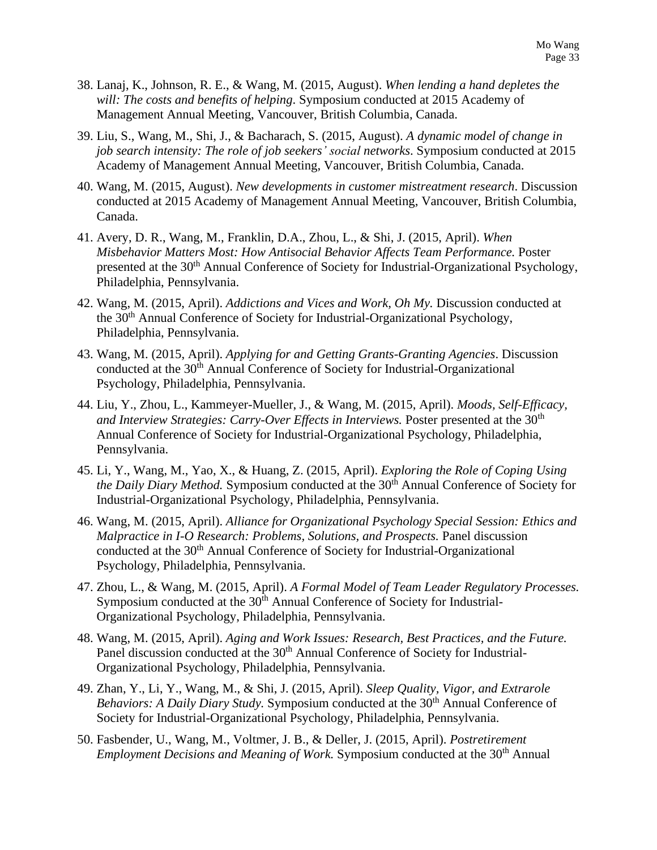- 38. Lanaj, K., Johnson, R. E., & Wang, M. (2015, August). *When lending a hand depletes the will: The costs and benefits of helping*. Symposium conducted at 2015 Academy of Management Annual Meeting, Vancouver, British Columbia, Canada.
- 39. Liu, S., Wang, M., Shi, J., & Bacharach, S. (2015, August). *A dynamic model of change in job search intensity: The role of job seekers' social networks*. Symposium conducted at 2015 Academy of Management Annual Meeting, Vancouver, British Columbia, Canada.
- 40. Wang, M. (2015, August). *New developments in customer mistreatment research*. Discussion conducted at 2015 Academy of Management Annual Meeting, Vancouver, British Columbia, Canada.
- 41. Avery, D. R., Wang, M., Franklin, D.A., Zhou, L., & Shi, J. (2015, April). *When Misbehavior Matters Most: How Antisocial Behavior Affects Team Performance.* Poster presented at the 30<sup>th</sup> Annual Conference of Society for Industrial-Organizational Psychology, Philadelphia, Pennsylvania.
- 42. Wang, M. (2015, April). *Addictions and Vices and Work, Oh My.* Discussion conducted at the 30th Annual Conference of Society for Industrial-Organizational Psychology, Philadelphia, Pennsylvania.
- 43. Wang, M. (2015, April). *Applying for and Getting Grants-Granting Agencies*. Discussion conducted at the 30<sup>th</sup> Annual Conference of Society for Industrial-Organizational Psychology, Philadelphia, Pennsylvania.
- 44. Liu, Y., Zhou, L., Kammeyer-Mueller, J., & Wang, M. (2015, April). *Moods, Self-Efficacy,*  and Interview Strategies: Carry-Over Effects in Interviews. Poster presented at the 30<sup>th</sup> Annual Conference of Society for Industrial-Organizational Psychology, Philadelphia, Pennsylvania.
- 45. Li, Y., Wang, M., Yao, X., & Huang, Z. (2015, April). *Exploring the Role of Coping Using the Daily Diary Method.* Symposium conducted at the 30<sup>th</sup> Annual Conference of Society for Industrial-Organizational Psychology, Philadelphia, Pennsylvania.
- 46. Wang, M. (2015, April). *Alliance for Organizational Psychology Special Session: Ethics and Malpractice in I-O Research: Problems, Solutions, and Prospects.* Panel discussion conducted at the 30<sup>th</sup> Annual Conference of Society for Industrial-Organizational Psychology, Philadelphia, Pennsylvania.
- 47. Zhou, L., & Wang, M. (2015, April). *A Formal Model of Team Leader Regulatory Processes.*  Symposium conducted at the 30<sup>th</sup> Annual Conference of Society for Industrial-Organizational Psychology, Philadelphia, Pennsylvania.
- 48. Wang, M. (2015, April). *Aging and Work Issues: Research, Best Practices, and the Future.* Panel discussion conducted at the 30<sup>th</sup> Annual Conference of Society for Industrial-Organizational Psychology, Philadelphia, Pennsylvania.
- 49. Zhan, Y., Li, Y., Wang, M., & Shi, J. (2015, April). *Sleep Quality, Vigor, and Extrarole Behaviors: A Daily Diary Study.* Symposium conducted at the 30<sup>th</sup> Annual Conference of Society for Industrial-Organizational Psychology, Philadelphia, Pennsylvania.
- 50. Fasbender, U., Wang, M., Voltmer, J. B., & Deller, J. (2015, April). *Postretirement Employment Decisions and Meaning of Work.* Symposium conducted at the 30<sup>th</sup> Annual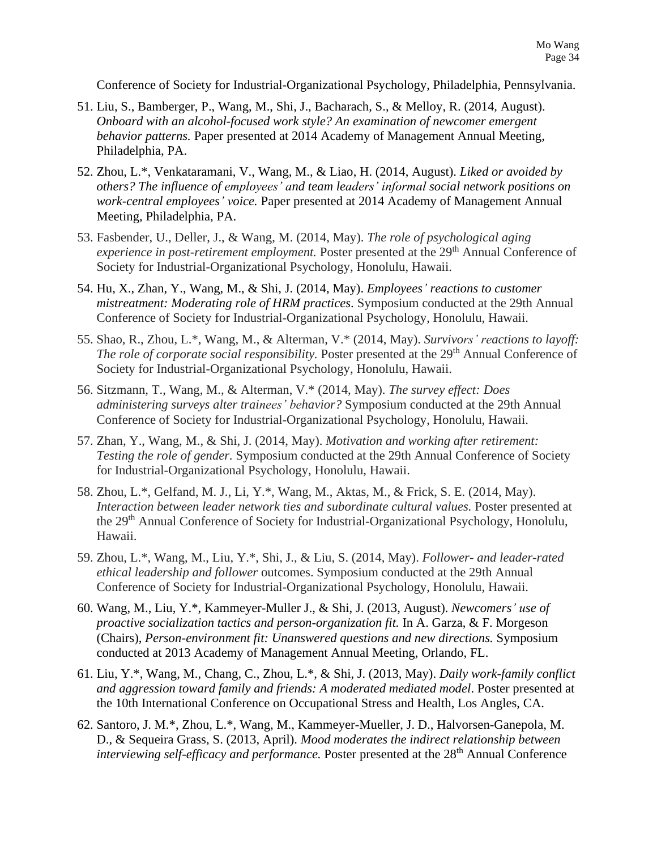Conference of Society for Industrial-Organizational Psychology, Philadelphia, Pennsylvania.

- 51. Liu, S., Bamberger, P., Wang, M., Shi, J., Bacharach, S., & Melloy, R. (2014, August). *Onboard with an alcohol-focused work style? An examination of newcomer emergent behavior patterns.* Paper presented at 2014 Academy of Management Annual Meeting, Philadelphia, PA.
- 52. Zhou, L.\*, Venkataramani, V., Wang, M., & Liao, H. (2014, August). *Liked or avoided by others? The influence of employees' and team leaders' informal social network positions on work-central employees' voice.* Paper presented at 2014 Academy of Management Annual Meeting, Philadelphia, PA.
- 53. Fasbender, U., Deller, J., & Wang, M. (2014, May). *The role of psychological aging experience in post-retirement employment.* Poster presented at the 29<sup>th</sup> Annual Conference of Society for Industrial-Organizational Psychology, Honolulu, Hawaii.
- 54. Hu, X., Zhan, Y., Wang, M., & Shi, J. (2014, May). *Employees' reactions to customer mistreatment: Moderating role of HRM practices*. Symposium conducted at the 29th Annual Conference of Society for Industrial-Organizational Psychology, Honolulu, Hawaii.
- 55. Shao, R., Zhou, L.\*, Wang, M., & Alterman, V.\* (2014, May). *Survivors' reactions to layoff: The role of corporate social responsibility.* Poster presented at the 29<sup>th</sup> Annual Conference of Society for Industrial-Organizational Psychology, Honolulu, Hawaii.
- 56. Sitzmann, T., Wang, M., & Alterman, V.\* (2014, May). *The survey effect: Does administering surveys alter trainees' behavior?* Symposium conducted at the 29th Annual Conference of Society for Industrial-Organizational Psychology, Honolulu, Hawaii.
- 57. Zhan, Y., Wang, M., & Shi, J. (2014, May). *Motivation and working after retirement: Testing the role of gender.* Symposium conducted at the 29th Annual Conference of Society for Industrial-Organizational Psychology, Honolulu, Hawaii.
- 58. Zhou, L.\*, Gelfand, M. J., Li, Y.\*, Wang, M., Aktas, M., & Frick, S. E. (2014, May). *Interaction between leader network ties and subordinate cultural values.* Poster presented at the 29<sup>th</sup> Annual Conference of Society for Industrial-Organizational Psychology, Honolulu, Hawaii.
- 59. Zhou, L.\*, Wang, M., Liu, Y.\*, Shi, J., & Liu, S. (2014, May). *Follower- and leader-rated ethical leadership and follower* outcomes. Symposium conducted at the 29th Annual Conference of Society for Industrial-Organizational Psychology, Honolulu, Hawaii.
- 60. Wang, M., Liu, Y.\*, Kammeyer-Muller J., & Shi, J. (2013, August). *Newcomers' use of proactive socialization tactics and person-organization fit.* In A. Garza, & F. Morgeson (Chairs), *Person-environment fit: Unanswered questions and new directions.* Symposium conducted at 2013 Academy of Management Annual Meeting, Orlando, FL.
- 61. Liu, Y.\*, Wang, M., Chang, C., Zhou, L.\*, & Shi, J. (2013, May). *Daily work-family conflict and aggression toward family and friends: A moderated mediated model*. Poster presented at the 10th International Conference on Occupational Stress and Health, Los Angles, CA.
- 62. Santoro, J. M.\*, Zhou, L.\*, Wang, M., Kammeyer-Mueller, J. D., Halvorsen-Ganepola, M. D., & Sequeira Grass, S. (2013, April). *Mood moderates the indirect relationship between* interviewing self-efficacy and performance. Poster presented at the 28<sup>th</sup> Annual Conference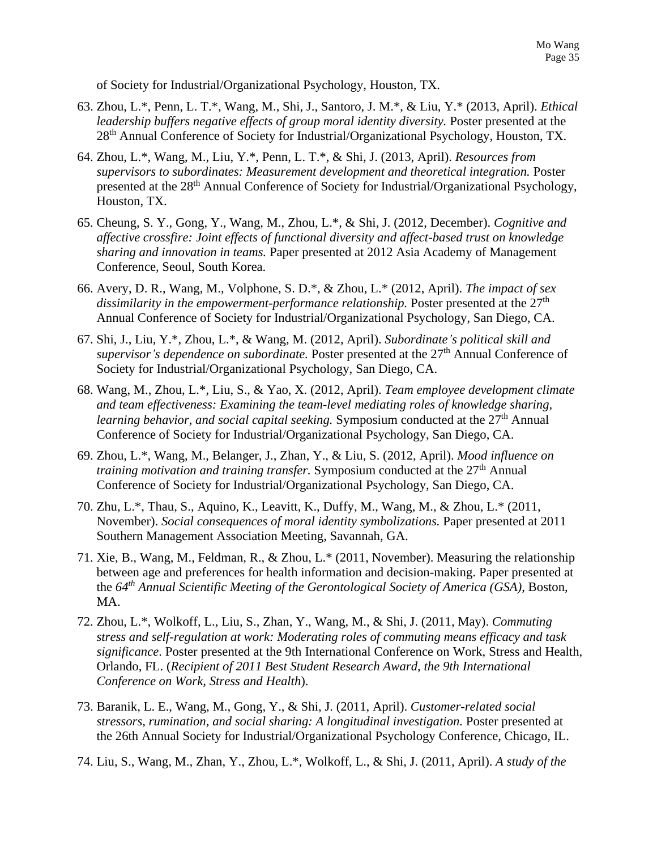of Society for Industrial/Organizational Psychology, Houston, TX.

- 63. Zhou, L.\*, Penn, L. T.\*, Wang, M., Shi, J., Santoro, J. M.\*, & Liu, Y.\* (2013, April). *Ethical leadership buffers negative effects of group moral identity diversity.* Poster presented at the 28<sup>th</sup> Annual Conference of Society for Industrial/Organizational Psychology, Houston, TX.
- 64. Zhou, L.\*, Wang, M., Liu, Y.\*, Penn, L. T.\*, & Shi, J. (2013, April). *Resources from supervisors to subordinates: Measurement development and theoretical integration.* Poster presented at the 28<sup>th</sup> Annual Conference of Society for Industrial/Organizational Psychology, Houston, TX.
- 65. Cheung, S. Y., Gong, Y., Wang, M., Zhou, L.\*, & Shi, J. (2012, December). *Cognitive and affective crossfire: Joint effects of functional diversity and affect-based trust on knowledge sharing and innovation in teams.* Paper presented at 2012 Asia Academy of Management Conference, Seoul, South Korea.
- 66. Avery, D. R., Wang, M., Volphone, S. D.\*, & Zhou, L.\* (2012, April). *The impact of sex dissimilarity in the empowerment-performance relationship.* Poster presented at the 27 th Annual Conference of Society for Industrial/Organizational Psychology, San Diego, CA.
- 67. Shi, J., Liu, Y.\*, Zhou, L.\*, & Wang, M. (2012, April). *Subordinate's political skill and*  supervisor's dependence on subordinate. Poster presented at the 27<sup>th</sup> Annual Conference of Society for Industrial/Organizational Psychology, San Diego, CA.
- 68. Wang, M., Zhou, L.\*, Liu, S., & Yao, X. (2012, April). *Team employee development climate and team effectiveness: Examining the team-level mediating roles of knowledge sharing,*  learning behavior, and social capital seeking. Symposium conducted at the 27<sup>th</sup> Annual Conference of Society for Industrial/Organizational Psychology, San Diego, CA.
- 69. Zhou, L.\*, Wang, M., Belanger, J., Zhan, Y., & Liu, S. (2012, April). *Mood influence on training motivation and training transfer.* Symposium conducted at the 27 th Annual Conference of Society for Industrial/Organizational Psychology, San Diego, CA.
- 70. Zhu, L.\*, Thau, S., Aquino, K., Leavitt, K., Duffy, M., Wang, M., & Zhou, L.\* (2011, November). *Social consequences of moral identity symbolizations.* Paper presented at 2011 Southern Management Association Meeting, Savannah, GA.
- 71. Xie, B., Wang, M., Feldman, R., & Zhou, L.\* (2011, November). Measuring the relationship between age and preferences for health information and decision-making. Paper presented at the *64 th Annual Scientific Meeting of the Gerontological Society of America (GSA)*, Boston, MA.
- 72. Zhou, L.\*, Wolkoff, L., Liu, S., Zhan, Y., Wang, M., & Shi, J. (2011, May). *Commuting stress and self-regulation at work: Moderating roles of commuting means efficacy and task significance*. Poster presented at the 9th International Conference on Work, Stress and Health, Orlando, FL. (*Recipient of 2011 Best Student Research Award, the 9th International Conference on Work, Stress and Health*).
- 73. Baranik, L. E., Wang, M., Gong, Y., & Shi, J. (2011, April). *Customer-related social stressors, rumination, and social sharing: A longitudinal investigation.* Poster presented at the 26th Annual Society for Industrial/Organizational Psychology Conference, Chicago, IL.
- 74. Liu, S., Wang, M., Zhan, Y., Zhou, L.\*, Wolkoff, L., & Shi, J. (2011, April). *A study of the*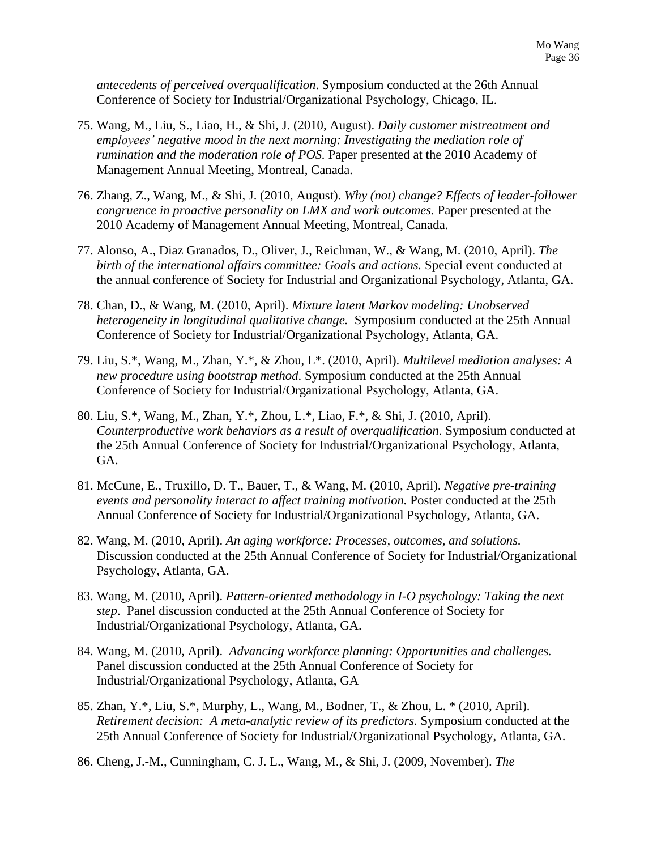*antecedents of perceived overqualification*. Symposium conducted at the 26th Annual Conference of Society for Industrial/Organizational Psychology, Chicago, IL.

- 75. Wang, M., Liu, S., Liao, H., & Shi, J. (2010, August). *Daily customer mistreatment and employees' negative mood in the next morning: Investigating the mediation role of rumination and the moderation role of POS.* Paper presented at the 2010 Academy of Management Annual Meeting, Montreal, Canada.
- 76. Zhang, Z., Wang, M., & Shi, J. (2010, August). *Why (not) change? Effects of leader-follower congruence in proactive personality on LMX and work outcomes.* Paper presented at the 2010 Academy of Management Annual Meeting, Montreal, Canada.
- 77. Alonso, A., Diaz Granados, D., Oliver, J., Reichman, W., & Wang, M. (2010, April). *The birth of the international affairs committee: Goals and actions.* Special event conducted at the annual conference of Society for Industrial and Organizational Psychology, Atlanta, GA.
- 78. Chan, D., & Wang, M. (2010, April). *Mixture latent Markov modeling: Unobserved heterogeneity in longitudinal qualitative change.* Symposium conducted at the 25th Annual Conference of Society for Industrial/Organizational Psychology, Atlanta, GA.
- 79. Liu, S.\*, Wang, M., Zhan, Y.\*, & Zhou, L\*. (2010, April). *Multilevel mediation analyses: A new procedure using bootstrap method*. Symposium conducted at the 25th Annual Conference of Society for Industrial/Organizational Psychology, Atlanta, GA.
- 80. Liu, S.\*, Wang, M., Zhan, Y.\*, Zhou, L.\*, Liao, F.\*, & Shi, J. (2010, April). *Counterproductive work behaviors as a result of overqualification*. Symposium conducted at the 25th Annual Conference of Society for Industrial/Organizational Psychology, Atlanta, GA.
- 81. McCune, E., Truxillo, D. T., Bauer, T., & Wang, M. (2010, April). *Negative pre-training events and personality interact to affect training motivation.* Poster conducted at the 25th Annual Conference of Society for Industrial/Organizational Psychology, Atlanta, GA.
- 82. Wang, M. (2010, April). *An aging workforce: Processes, outcomes, and solutions.* Discussion conducted at the 25th Annual Conference of Society for Industrial/Organizational Psychology, Atlanta, GA.
- 83. Wang, M. (2010, April). *Pattern-oriented methodology in I-O psychology: Taking the next step*. Panel discussion conducted at the 25th Annual Conference of Society for Industrial/Organizational Psychology, Atlanta, GA.
- 84. Wang, M. (2010, April). *Advancing workforce planning: Opportunities and challenges.* Panel discussion conducted at the 25th Annual Conference of Society for Industrial/Organizational Psychology, Atlanta, GA
- 85. Zhan, Y.\*, Liu, S.\*, Murphy, L., Wang, M., Bodner, T., & Zhou, L. \* (2010, April). *Retirement decision: A meta-analytic review of its predictors.* Symposium conducted at the 25th Annual Conference of Society for Industrial/Organizational Psychology, Atlanta, GA.
- 86. Cheng, J.-M., Cunningham, C. J. L., Wang, M., & Shi, J. (2009, November). *The*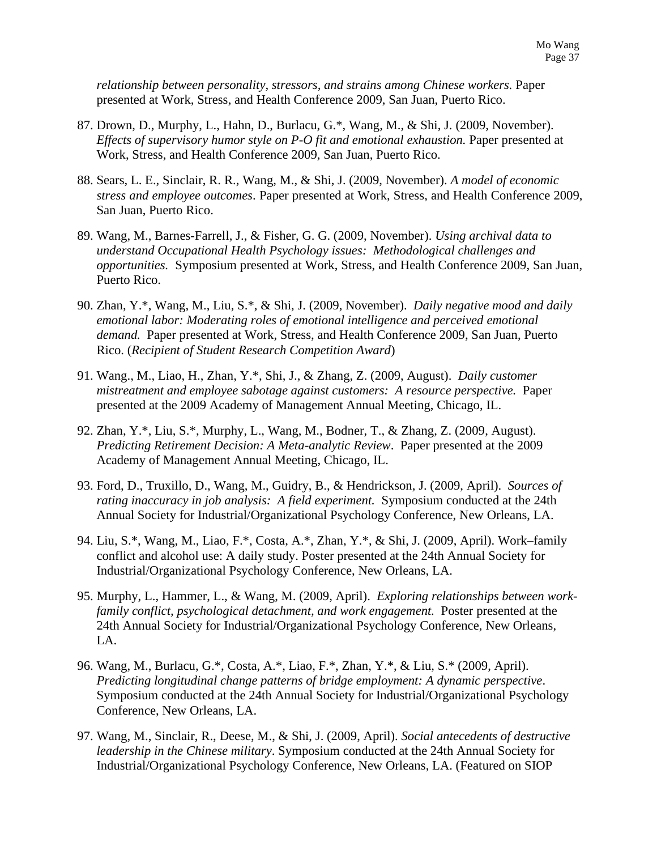*relationship between personality, stressors, and strains among Chinese workers.* Paper presented at Work, Stress, and Health Conference 2009, San Juan, Puerto Rico.

- 87. Drown, D., Murphy, L., Hahn, D., Burlacu, G.\*, Wang, M., & Shi, J. (2009, November). *Effects of supervisory humor style on P-O fit and emotional exhaustion.* Paper presented at Work, Stress, and Health Conference 2009, San Juan, Puerto Rico.
- 88. Sears, L. E., Sinclair, R. R., Wang, M., & Shi, J. (2009, November). *A model of economic stress and employee outcomes*. Paper presented at Work, Stress, and Health Conference 2009, San Juan, Puerto Rico.
- 89. Wang, M., Barnes-Farrell, J., & Fisher, G. G. (2009, November). *Using archival data to understand Occupational Health Psychology issues: Methodological challenges and opportunities.* Symposium presented at Work, Stress, and Health Conference 2009, San Juan, Puerto Rico.
- 90. Zhan, Y.\*, Wang, M., Liu, S.\*, & Shi, J. (2009, November). *Daily negative mood and daily emotional labor: Moderating roles of emotional intelligence and perceived emotional demand.* Paper presented at Work, Stress, and Health Conference 2009, San Juan, Puerto Rico. (*Recipient of Student Research Competition Award*)
- 91. Wang., M., Liao, H., Zhan, Y.\*, Shi, J., & Zhang, Z. (2009, August). *Daily customer mistreatment and employee sabotage against customers: A resource perspective.* Paper presented at the 2009 Academy of Management Annual Meeting, Chicago, IL.
- 92. Zhan, Y.\*, Liu, S.\*, Murphy, L., Wang, M., Bodner, T., & Zhang, Z. (2009, August). *Predicting Retirement Decision: A Meta-analytic Review*.Paper presented at the 2009 Academy of Management Annual Meeting, Chicago, IL.
- 93. Ford, D., Truxillo, D., Wang, M., Guidry, B., & Hendrickson, J. (2009, April). *Sources of rating inaccuracy in job analysis: A field experiment. Symposium conducted at the 24th* Annual Society for Industrial/Organizational Psychology Conference, New Orleans, LA.
- 94. Liu, S.\*, Wang, M., Liao, F.\*, Costa, A.\*, Zhan, Y.\*, & Shi, J. (2009, April). Work–family conflict and alcohol use: A daily study. Poster presented at the 24th Annual Society for Industrial/Organizational Psychology Conference, New Orleans, LA.
- 95. Murphy, L., Hammer, L., & Wang, M. (2009, April). *Exploring relationships between workfamily conflict, psychological detachment, and work engagement.* Poster presented at the 24th Annual Society for Industrial/Organizational Psychology Conference, New Orleans, LA.
- 96. Wang, M., Burlacu, G.\*, Costa, A.\*, Liao, F.\*, Zhan, Y.\*, & Liu, S.\* (2009, April). *Predicting longitudinal change patterns of bridge employment: A dynamic perspective*. Symposium conducted at the 24th Annual Society for Industrial/Organizational Psychology Conference, New Orleans, LA.
- 97. Wang, M., Sinclair, R., Deese, M., & Shi, J. (2009, April). *Social antecedents of destructive leadership in the Chinese military*. Symposium conducted at the 24th Annual Society for Industrial/Organizational Psychology Conference, New Orleans, LA. (Featured on SIOP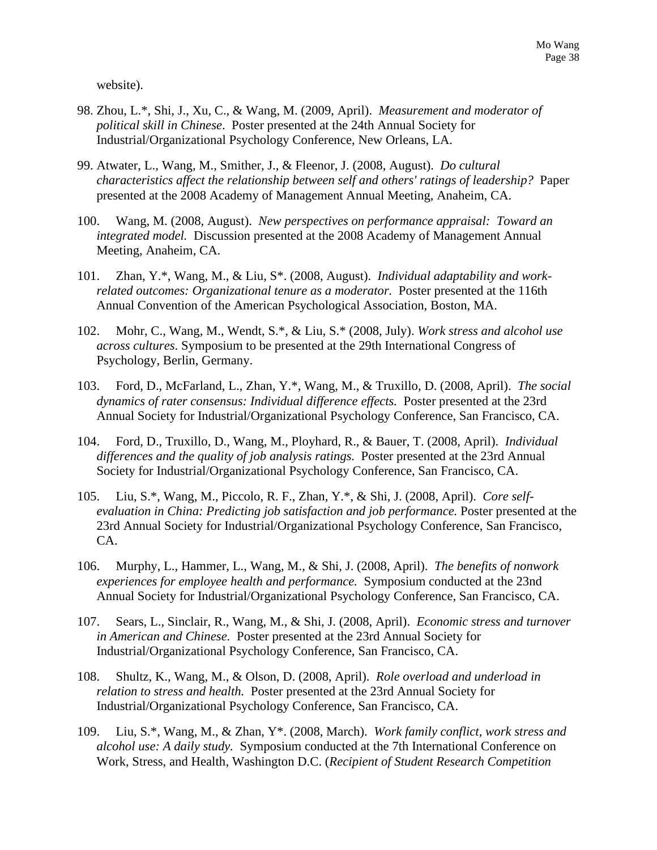website).

- 98. Zhou, L.\*, Shi, J., Xu, C., & Wang, M. (2009, April). *Measurement and moderator of political skill in Chinese*. Poster presented at the 24th Annual Society for Industrial/Organizational Psychology Conference, New Orleans, LA.
- 99. Atwater, L., Wang, M., Smither, J., & Fleenor, J. (2008, August). *Do cultural characteristics affect the relationship between self and others' ratings of leadership?* Paper presented at the 2008 Academy of Management Annual Meeting, Anaheim, CA.
- 100. Wang, M. (2008, August). *New perspectives on performance appraisal: Toward an integrated model.* Discussion presented at the 2008 Academy of Management Annual Meeting, Anaheim, CA.
- 101. Zhan, Y.\*, Wang, M., & Liu, S\*. (2008, August). *Individual adaptability and workrelated outcomes: Organizational tenure as a moderator.* Poster presented at the 116th Annual Convention of the American Psychological Association, Boston, MA.
- 102. Mohr, C., Wang, M., Wendt, S.\*, & Liu, S.\* (2008, July). *Work stress and alcohol use across cultures*. Symposium to be presented at the 29th International Congress of Psychology, Berlin, Germany.
- 103. Ford, D., McFarland, L., Zhan, Y.\*, Wang, M., & Truxillo, D. (2008, April). *The social dynamics of rater consensus: Individual difference effects.* Poster presented at the 23rd Annual Society for Industrial/Organizational Psychology Conference, San Francisco, CA.
- 104. Ford, D., Truxillo, D., Wang, M., Ployhard, R., & Bauer, T. (2008, April). *Individual differences and the quality of job analysis ratings.* Poster presented at the 23rd Annual Society for Industrial/Organizational Psychology Conference, San Francisco, CA.
- 105. Liu, S.\*, Wang, M., Piccolo, R. F., Zhan, Y.\*, & Shi, J. (2008, April). *Core selfevaluation in China: Predicting job satisfaction and job performance.* Poster presented at the 23rd Annual Society for Industrial/Organizational Psychology Conference, San Francisco, CA.
- 106. Murphy, L., Hammer, L., Wang, M., & Shi, J. (2008, April). *The benefits of nonwork experiences for employee health and performance.* Symposium conducted at the 23nd Annual Society for Industrial/Organizational Psychology Conference, San Francisco, CA.
- 107. Sears, L., Sinclair, R., Wang, M., & Shi, J. (2008, April). *Economic stress and turnover in American and Chinese.* Poster presented at the 23rd Annual Society for Industrial/Organizational Psychology Conference, San Francisco, CA.
- 108. Shultz, K., Wang, M., & Olson, D. (2008, April). *Role overload and underload in relation to stress and health.* Poster presented at the 23rd Annual Society for Industrial/Organizational Psychology Conference, San Francisco, CA.
- 109. Liu, S.\*, Wang, M., & Zhan, Y\*. (2008, March). *Work family conflict, work stress and alcohol use: A daily study.* Symposium conducted at the 7th International Conference on Work, Stress, and Health, Washington D.C. (*Recipient of Student Research Competition*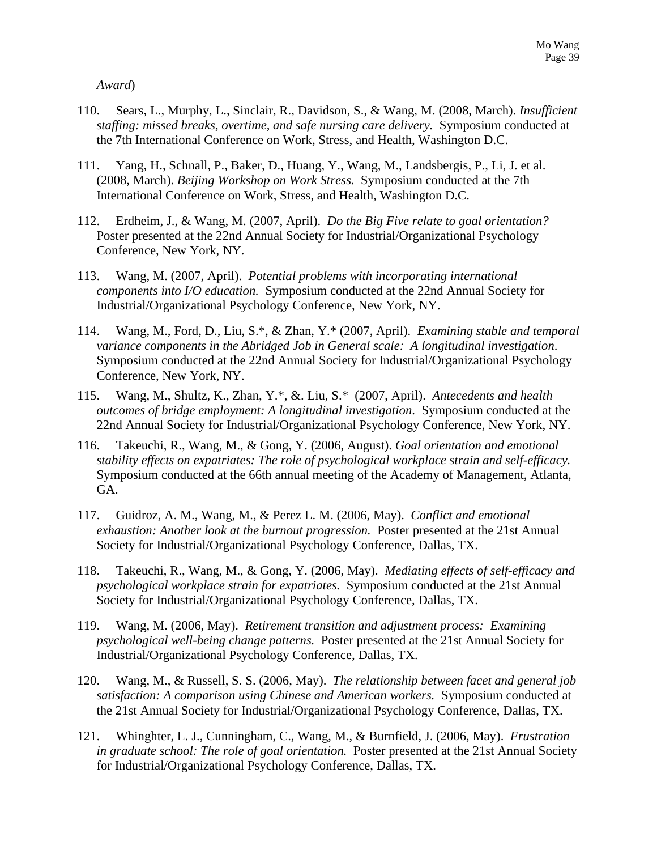*Award*)

- 110. Sears, L., Murphy, L., Sinclair, R., Davidson, S., & Wang, M. (2008, March). *Insufficient staffing: missed breaks, overtime, and safe nursing care delivery.* Symposium conducted at the 7th International Conference on Work, Stress, and Health, Washington D.C.
- 111. Yang, H., Schnall, P., Baker, D., Huang, Y., Wang, M., Landsbergis, P., Li, J. et al. (2008, March). *Beijing Workshop on Work Stress.* Symposium conducted at the 7th International Conference on Work, Stress, and Health, Washington D.C.
- 112. Erdheim, J., & Wang, M. (2007, April). *Do the Big Five relate to goal orientation?* Poster presented at the 22nd Annual Society for Industrial/Organizational Psychology Conference, New York, NY.
- 113. Wang, M. (2007, April). *Potential problems with incorporating international components into I/O education.* Symposium conducted at the 22nd Annual Society for Industrial/Organizational Psychology Conference, New York, NY.
- 114. Wang, M., Ford, D., Liu, S.\*, & Zhan, Y.\* (2007, April). *Examining stable and temporal variance components in the Abridged Job in General scale: A longitudinal investigation*. Symposium conducted at the 22nd Annual Society for Industrial/Organizational Psychology Conference, New York, NY.
- 115. Wang, M., Shultz, K., Zhan, Y.\*, &. Liu, S.\* (2007, April). *Antecedents and health outcomes of bridge employment: A longitudinal investigation*. Symposium conducted at the 22nd Annual Society for Industrial/Organizational Psychology Conference, New York, NY.
- 116. Takeuchi, R., Wang, M., & Gong, Y. (2006, August). *Goal orientation and emotional stability effects on expatriates: The role of psychological workplace strain and self-efficacy.* Symposium conducted at the 66th annual meeting of the Academy of Management, Atlanta, GA.
- 117. Guidroz, A. M., Wang, M., & Perez L. M. (2006, May). *Conflict and emotional exhaustion: Another look at the burnout progression.* Poster presented at the 21st Annual Society for Industrial/Organizational Psychology Conference, Dallas, TX.
- 118. Takeuchi, R., Wang, M., & Gong, Y. (2006, May). *Mediating effects of self-efficacy and psychological workplace strain for expatriates.* Symposium conducted at the 21st Annual Society for Industrial/Organizational Psychology Conference, Dallas, TX.
- 119. Wang, M. (2006, May). *Retirement transition and adjustment process: Examining psychological well-being change patterns.* Poster presented at the 21st Annual Society for Industrial/Organizational Psychology Conference, Dallas, TX.
- 120. Wang, M., & Russell, S. S. (2006, May). *The relationship between facet and general job satisfaction: A comparison using Chinese and American workers.* Symposium conducted at the 21st Annual Society for Industrial/Organizational Psychology Conference, Dallas, TX.
- 121. Whinghter, L. J., Cunningham, C., Wang, M., & Burnfield, J. (2006, May). *Frustration in graduate school: The role of goal orientation.* Poster presented at the 21st Annual Society for Industrial/Organizational Psychology Conference, Dallas, TX.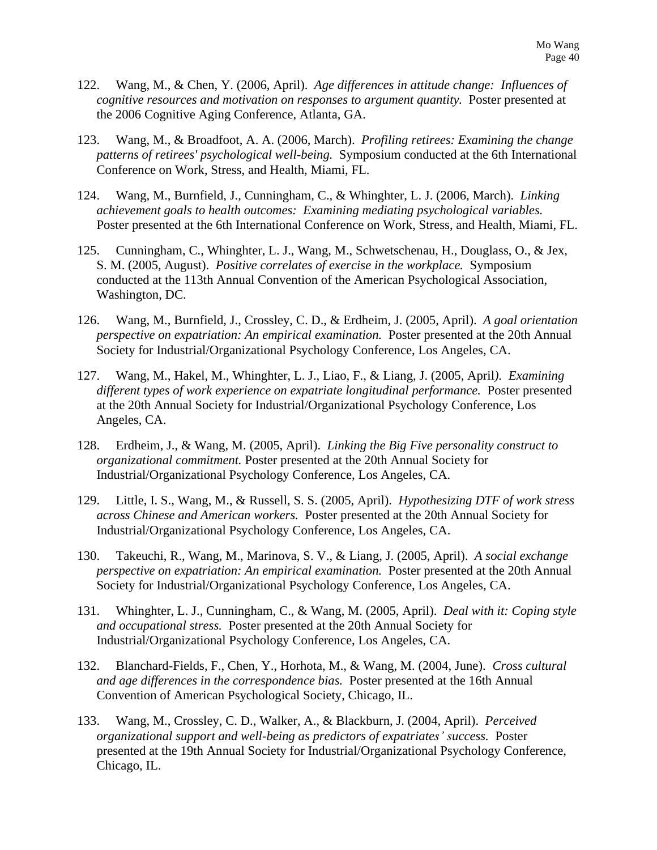- 122. Wang, M., & Chen, Y. (2006, April). *Age differences in attitude change: Influences of cognitive resources and motivation on responses to argument quantity.* Poster presented at the 2006 Cognitive Aging Conference, Atlanta, GA.
- 123. Wang, M., & Broadfoot, A. A. (2006, March). *Profiling retirees: Examining the change patterns of retirees' psychological well-being.* Symposium conducted at the 6th International Conference on Work, Stress, and Health, Miami, FL.
- 124. Wang, M., Burnfield, J., Cunningham, C., & Whinghter, L. J. (2006, March). *Linking achievement goals to health outcomes: Examining mediating psychological variables.* Poster presented at the 6th International Conference on Work, Stress, and Health, Miami, FL.
- 125. Cunningham, C., Whinghter, L. J., Wang, M., Schwetschenau, H., Douglass, O., & Jex, S. M. (2005, August). *Positive correlates of exercise in the workplace.* Symposium conducted at the 113th Annual Convention of the American Psychological Association, Washington, DC.
- 126. Wang, M., Burnfield, J., Crossley, C. D., & Erdheim, J. (2005, April). *A goal orientation perspective on expatriation: An empirical examination.* Poster presented at the 20th Annual Society for Industrial/Organizational Psychology Conference, Los Angeles, CA.
- 127. Wang, M., Hakel, M., Whinghter, L. J., Liao, F., & Liang, J. (2005, April*). Examining different types of work experience on expatriate longitudinal performance.* Poster presented at the 20th Annual Society for Industrial/Organizational Psychology Conference, Los Angeles, CA.
- 128. Erdheim, J., & Wang, M. (2005, April). *Linking the Big Five personality construct to organizational commitment.* Poster presented at the 20th Annual Society for Industrial/Organizational Psychology Conference, Los Angeles, CA.
- 129. Little, I. S., Wang, M., & Russell, S. S. (2005, April). *Hypothesizing DTF of work stress across Chinese and American workers.* Poster presented at the 20th Annual Society for Industrial/Organizational Psychology Conference, Los Angeles, CA.
- 130. Takeuchi, R., Wang, M., Marinova, S. V., & Liang, J. (2005, April). *A social exchange perspective on expatriation: An empirical examination.* Poster presented at the 20th Annual Society for Industrial/Organizational Psychology Conference, Los Angeles, CA.
- 131. Whinghter, L. J., Cunningham, C., & Wang, M. (2005, April). *Deal with it: Coping style and occupational stress.* Poster presented at the 20th Annual Society for Industrial/Organizational Psychology Conference, Los Angeles, CA.
- 132. Blanchard-Fields, F., Chen, Y., Horhota, M., & Wang, M. (2004, June). *Cross cultural and age differences in the correspondence bias.* Poster presented at the 16th Annual Convention of American Psychological Society, Chicago, IL.
- 133. Wang, M., Crossley, C. D., Walker, A., & Blackburn, J. (2004, April). *Perceived organizational support and well-being as predictors of expatriates' success.* Poster presented at the 19th Annual Society for Industrial/Organizational Psychology Conference, Chicago, IL.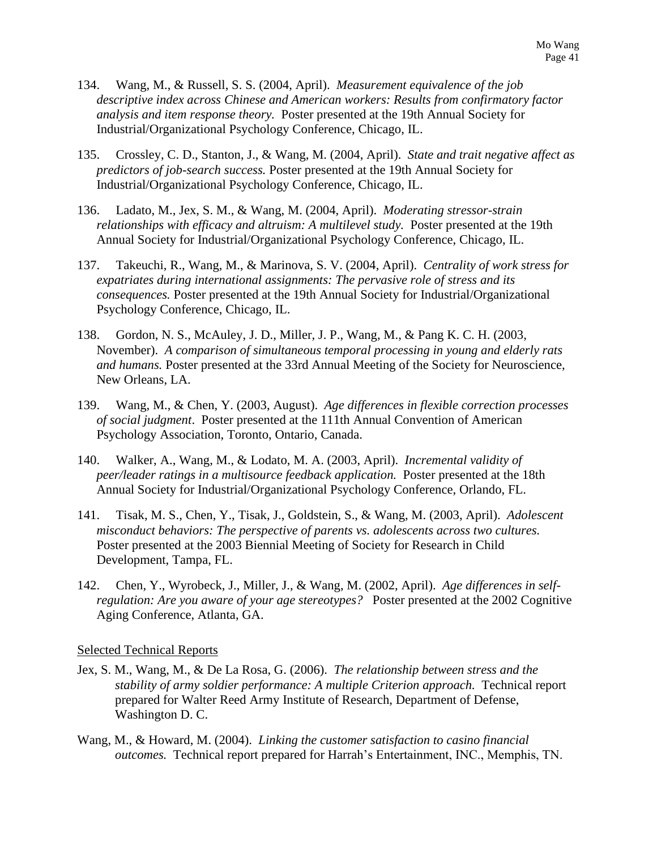- 134. Wang, M., & Russell, S. S. (2004, April). *Measurement equivalence of the job descriptive index across Chinese and American workers: Results from confirmatory factor analysis and item response theory.* Poster presented at the 19th Annual Society for Industrial/Organizational Psychology Conference, Chicago, IL.
- 135. Crossley, C. D., Stanton, J., & Wang, M. (2004, April). *State and trait negative affect as predictors of job-search success.* Poster presented at the 19th Annual Society for Industrial/Organizational Psychology Conference, Chicago, IL.
- 136. Ladato, M., Jex, S. M., & Wang, M. (2004, April). *Moderating stressor-strain relationships with efficacy and altruism: A multilevel study.* Poster presented at the 19th Annual Society for Industrial/Organizational Psychology Conference, Chicago, IL.
- 137. Takeuchi, R., Wang, M., & Marinova, S. V. (2004, April). *Centrality of work stress for expatriates during international assignments: The pervasive role of stress and its consequences.* Poster presented at the 19th Annual Society for Industrial/Organizational Psychology Conference, Chicago, IL.
- 138. Gordon, N. S., McAuley, J. D., Miller, J. P., Wang, M., & Pang K. C. H. (2003, November). *A comparison of simultaneous temporal processing in young and elderly rats and humans.* Poster presented at the 33rd Annual Meeting of the Society for Neuroscience, New Orleans, LA.
- 139. Wang, M., & Chen, Y. (2003, August). *Age differences in flexible correction processes of social judgment*. Poster presented at the 111th Annual Convention of American Psychology Association, Toronto, Ontario, Canada.
- 140. Walker, A., Wang, M., & Lodato, M. A. (2003, April). *Incremental validity of peer/leader ratings in a multisource feedback application.* Poster presented at the 18th Annual Society for Industrial/Organizational Psychology Conference, Orlando, FL.
- 141. Tisak, M. S., Chen, Y., Tisak, J., Goldstein, S., & Wang, M. (2003, April). *Adolescent misconduct behaviors: The perspective of parents vs. adolescents across two cultures.*  Poster presented at the 2003 Biennial Meeting of Society for Research in Child Development, Tampa, FL.
- 142. Chen, Y., Wyrobeck, J., Miller, J., & Wang, M. (2002, April). *Age differences in selfregulation: Are you aware of your age stereotypes?* Poster presented at the 2002 Cognitive Aging Conference, Atlanta, GA.

#### Selected Technical Reports

- Jex, S. M., Wang, M., & De La Rosa, G. (2006). *The relationship between stress and the stability of army soldier performance: A multiple Criterion approach.* Technical report prepared for Walter Reed Army Institute of Research, Department of Defense, Washington D. C.
- Wang, M., & Howard, M. (2004). *Linking the customer satisfaction to casino financial outcomes.* Technical report prepared for Harrah's Entertainment, INC., Memphis, TN.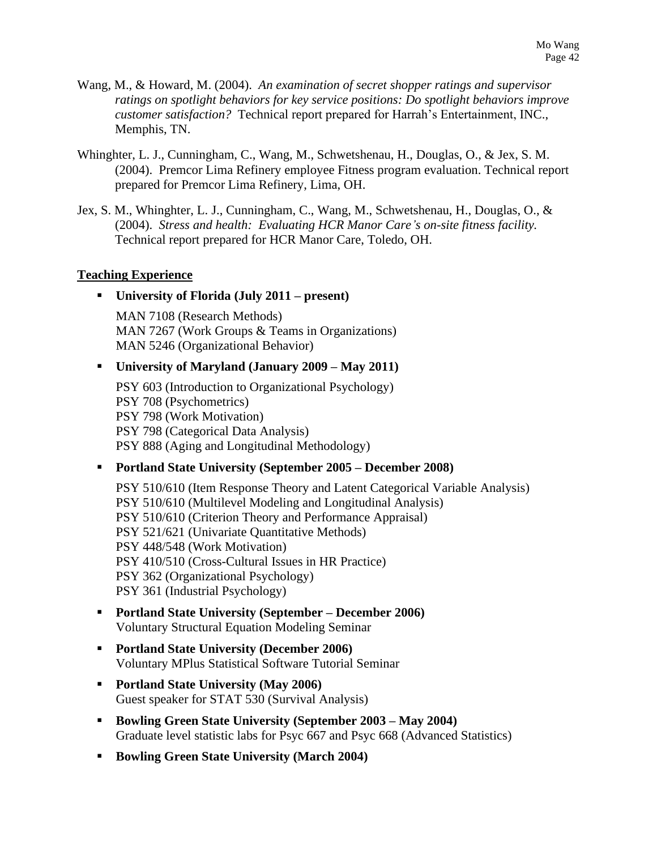- Wang, M., & Howard, M. (2004). *An examination of secret shopper ratings and supervisor ratings on spotlight behaviors for key service positions: Do spotlight behaviors improve customer satisfaction?* Technical report prepared for Harrah's Entertainment, INC., Memphis, TN.
- Whinghter, L. J., Cunningham, C., Wang, M., Schwetshenau, H., Douglas, O., & Jex, S. M. (2004). Premcor Lima Refinery employee Fitness program evaluation. Technical report prepared for Premcor Lima Refinery, Lima, OH.
- Jex, S. M., Whinghter, L. J., Cunningham, C., Wang, M., Schwetshenau, H., Douglas, O., & (2004). *Stress and health: Evaluating HCR Manor Care's on-site fitness facility.* Technical report prepared for HCR Manor Care, Toledo, OH.

#### **Teaching Experience**

▪ **University of Florida (July 2011 – present)**

MAN 7108 (Research Methods) MAN 7267 (Work Groups & Teams in Organizations) MAN 5246 (Organizational Behavior)

### ▪ **University of Maryland (January 2009 – May 2011)**

PSY 603 (Introduction to Organizational Psychology) PSY 708 (Psychometrics) PSY 798 (Work Motivation) PSY 798 (Categorical Data Analysis) PSY 888 (Aging and Longitudinal Methodology)

### ▪ **Portland State University (September 2005 – December 2008)**

PSY 510/610 (Item Response Theory and Latent Categorical Variable Analysis) PSY 510/610 (Multilevel Modeling and Longitudinal Analysis) PSY 510/610 (Criterion Theory and Performance Appraisal) PSY 521/621 (Univariate Quantitative Methods) PSY 448/548 (Work Motivation) PSY 410/510 (Cross-Cultural Issues in HR Practice) PSY 362 (Organizational Psychology) PSY 361 (Industrial Psychology)

- **Portland State University (September – December 2006)** Voluntary Structural Equation Modeling Seminar
- **Portland State University (December 2006)** Voluntary MPlus Statistical Software Tutorial Seminar
- **Portland State University (May 2006)** Guest speaker for STAT 530 (Survival Analysis)
- **Bowling Green State University (September 2003 – May 2004)** Graduate level statistic labs for Psyc 667 and Psyc 668 (Advanced Statistics)
- **Bowling Green State University (March 2004)**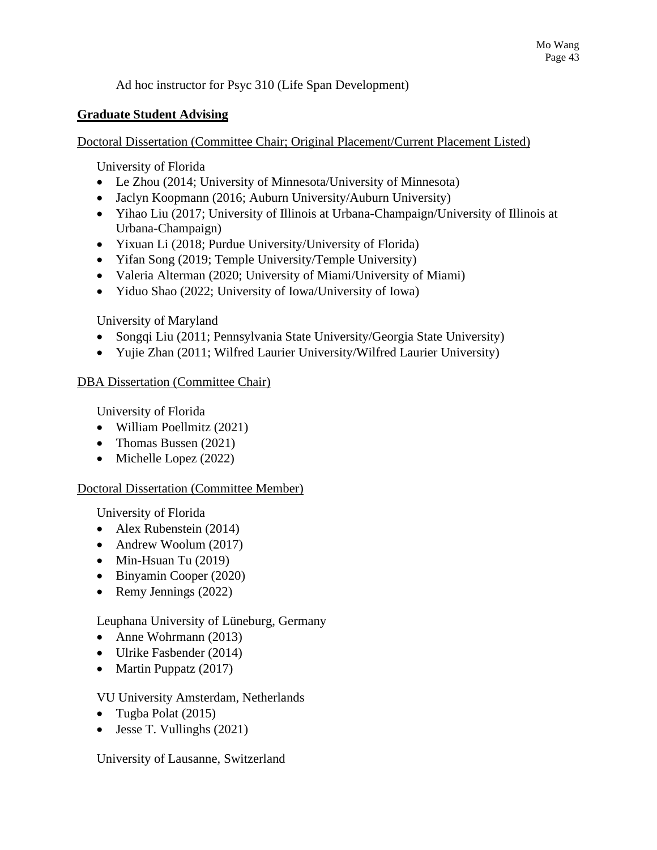Ad hoc instructor for Psyc 310 (Life Span Development)

### **Graduate Student Advising**

Doctoral Dissertation (Committee Chair; Original Placement/Current Placement Listed)

University of Florida

- Le Zhou (2014; University of Minnesota/University of Minnesota)
- Jaclyn Koopmann (2016; Auburn University/Auburn University)
- Yihao Liu (2017; University of Illinois at Urbana-Champaign/University of Illinois at Urbana-Champaign)
- Yixuan Li (2018; Purdue University/University of Florida)
- Yifan Song (2019; Temple University/Temple University)
- Valeria Alterman (2020; University of Miami/University of Miami)
- Yiduo Shao (2022; University of Iowa/University of Iowa)

University of Maryland

- Songqi Liu (2011; Pennsylvania State University/Georgia State University)
- Yujie Zhan (2011; Wilfred Laurier University/Wilfred Laurier University)

### DBA Dissertation (Committee Chair)

University of Florida

- William Poellmitz (2021)
- Thomas Bussen (2021)
- Michelle Lopez (2022)

### Doctoral Dissertation (Committee Member)

University of Florida

- Alex Rubenstein (2014)
- Andrew Woolum (2017)
- Min-Hsuan Tu (2019)
- Binyamin Cooper (2020)
- Remy Jennings (2022)

Leuphana University of Lüneburg, Germany

- Anne Wohrmann (2013)
- Ulrike Fasbender (2014)
- Martin Puppatz (2017)

### VU University Amsterdam, Netherlands

- Tugba Polat (2015)
- Jesse T. Vullinghs (2021)

University of Lausanne, Switzerland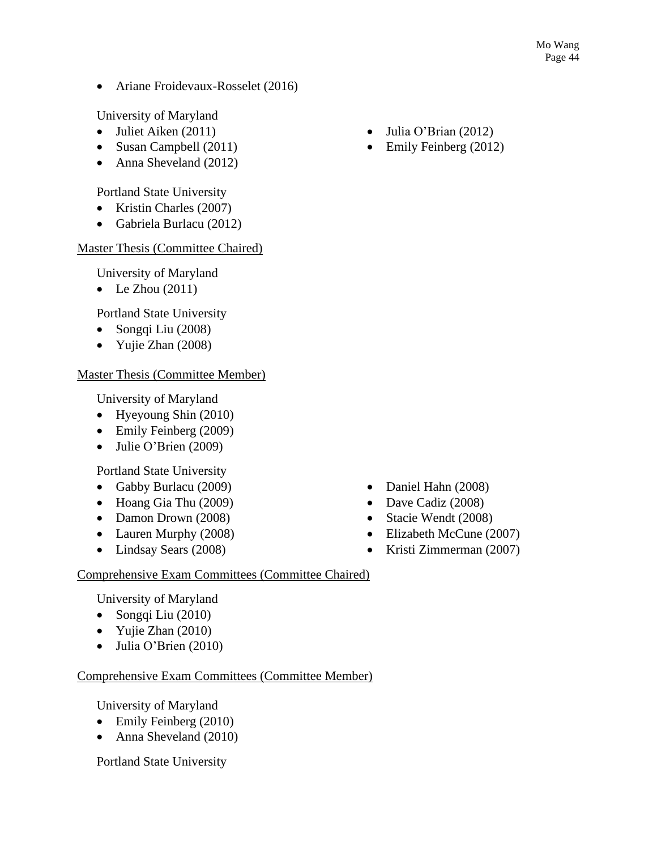• Ariane Froidevaux-Rosselet (2016)

University of Maryland

- Juliet Aiken (2011)
- Susan Campbell (2011)
- Anna Sheveland (2012)

Portland State University

- Kristin Charles (2007)
- Gabriela Burlacu (2012)

### Master Thesis (Committee Chaired)

University of Maryland

• Le Zhou  $(2011)$ 

Portland State University

- Songqi Liu (2008)
- Yujie Zhan (2008)

## Master Thesis (Committee Member)

University of Maryland

- Hyeyoung Shin (2010)
- Emily Feinberg (2009)
- Julie O'Brien (2009)

Portland State University

- Gabby Burlacu (2009)
- Hoang Gia Thu (2009)
- Damon Drown (2008)
- Lauren Murphy (2008)
- Lindsay Sears (2008)
- Julia O'Brian (2012)
- Emily Feinberg (2012)

- Daniel Hahn (2008)
- Dave Cadiz (2008)
- Stacie Wendt (2008)
- Elizabeth McCune (2007)
- Kristi Zimmerman (2007)

## Comprehensive Exam Committees (Committee Chaired)

University of Maryland

- Songqi Liu (2010)
- Yujie Zhan (2010)
- Julia O'Brien (2010)

## Comprehensive Exam Committees (Committee Member)

University of Maryland

- Emily Feinberg (2010)
- Anna Sheveland (2010)

Portland State University